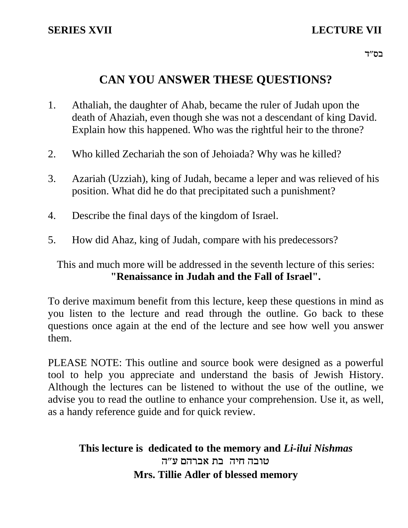# **CAN YOU ANSWER THESE QUESTIONS?**

- 1. Athaliah, the daughter of Ahab, became the ruler of Judah upon the death of Ahaziah, even though she was not a descendant of king David. Explain how this happened. Who was the rightful heir to the throne?
- 2. Who killed Zechariah the son of Jehoiada? Why was he killed?
- 3. Azariah (Uzziah), king of Judah, became a leper and was relieved of his position. What did he do that precipitated such a punishment?
- 4. Describe the final days of the kingdom of Israel.
- 5. How did Ahaz, king of Judah, compare with his predecessors?

This and much more will be addressed in the seventh lecture of this series: **"Renaissance in Judah and the Fall of Israel".**

To derive maximum benefit from this lecture, keep these questions in mind as you listen to the lecture and read through the outline. Go back to these questions once again at the end of the lecture and see how well you answer them.

PLEASE NOTE: This outline and source book were designed as a powerful tool to help you appreciate and understand the basis of Jewish History. Although the lectures can be listened to without the use of the outline, we advise you to read the outline to enhance your comprehension. Use it, as well, as a handy reference guide and for quick review.

## **This lecture is dedicated to the memory and** *Li-ilui Nishmas* טובה חיה בת אברהם ע״ה **Mrs. Tillie Adler of blessed memory**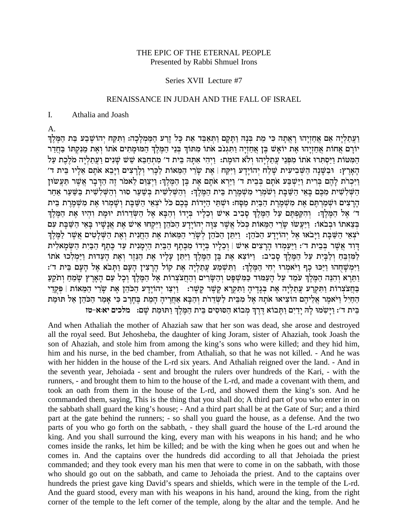#### THE EPIC OF THE ETERNAL PEOPLE Presented by Rabbi Shmuel Irons

#### Series XVII Lecture #7

#### RENAISSANCE IN JUDAH AND THE FALL OF ISRAEL

#### $\mathbf{I}$ . Athalia and Joash

 $\mathsf{A}$ .

וַעֲתַלְיָה אֵם אֲחַזְיָהוּ רָאֲתָה כִּי מֵת בִּנָהּ וַתָּקָם וַתִּאַבֵּד אֵת כָּל זֶרַע הַמַּמְלָכָה: וַתִּקַח יִהוֹשֶׁבַע בַּת הַמֶּלֶךְ יורם אחות אחזיהו את יואש בן אחזיה ותגנב אתו מתוך בני המלך המומתים אתו ואת מנקתו בחדר המטות ויסתרו אתו מפני עתליהו ולא הומת: ויהי אתה בית ד׳ מתחבא שש שנים ועתליה מלכת על הַאֲרֶץ: וּבְשֵּׁנָה הַשִּׁבִיעִית שַׁלַח יְהוֹיָדַע וַיִּקֲח | אֶת שָׂרֵי הַמֵּאוֹת לַכָּרִי וְלַרַצִים וַיַּבֵא אֹתַם אֲלַיו בֵית ד׳ וַיִּכְרֹת לַהֵם בְּרִית וַיַּשְׁבַּע אֹתָם בְּבֵית ד' וַיַּרָא אֹתָם אֶת בֵּן הַמֶּלֶךְ: וַיְצַוֶּם לֵאמֹר זֶה הַדָּבָר אֲשֶׁר תַּעֲשׂוּן הַשָּׁלְשִׁית מִכֵּם בַּאֵי הַשַּׁבַּת וְשֹׁמְרֵי מִשְׁמֵרֶת בֵּית הַמֵּלֵךְ: וְהַשִּׁלְשִׁית בְּשַׁעַר סוּר וְהַשִּׁלְשִׁית בַּשַּׁעַר אַחַר הַרַצִּים וּשָׁמֲרָתֶּם אֶת מְשָׁמֱרֶת הַבַּיִת מַסָּח: וּשְׁתֵּי הַיַּדוֹת בַּכֵם כֹּל יֹצְאֵי הַשַּׁבָּת וְשָׁמְרוּ אֶת מְשָׁמֵרֶת בֵּית ד׳ אֱל הַמֶּלֶךְ: וְהִקַפְתֵּם עַל הַמֶּלֶךְ סַבִיב אִישׁ וְכֵלִיו בְּיַדוֹ וְהַבָּא אֵל הַשְׂדֵרוֹת יוּמַת וְהִיוּ אֶת הַמֵּלֶךְ בִּצֵאתו וּבְבֹאוֹ: וַיַּעֲשׁוּ שָׂרֵי הַמֵּאוֹת כְּכֹל אֲשֶׁר צִוָּה יְהוֹיָדָע הַכֹּהֵן וַיִּקְחוּ אִישׁ אֶת אֲנָשָׁיו בָּאֵי הַשַּׁבָּת עִם יצְאֵי הַשָּׁבָת וַיָּבֹאוּ אֵל יְהוֹיָדַע הַכֹּהֵן: וַיִּתֵן הַכֹּהֵן לְשָׂרֵי הַמֵּאוֹת אֵת הַחֲנִית וְאֵת הַשָּׁלָטִים אֲשֶׁר לַמֵּלֵךְ דַוִּד אֲשֶׁר בְּבֵית ד': וַיַּעֲמִדוּ הַרַצִים אִישׁ | וְבָלֵיו בְּיָדוֹ מִכֶּתֶף הַבִּיִת הַיִּמְנִית עַד כָּתֵף הַבַּיִת הַשָּׂמָאלִית למזבח ולבית על המלך סביב: ויוצא את בן המלך ויתן עליו את הנזר ואת העדות וימלכו אתו וַיִּמְשָׁחְהוּ וַיַּכּוּ כַף וַיֹּאמְרוּ יְחִי הַמֵּלֵךְ: וַתְּשָׁמַע עֲתָלְיָה אֶת קוֹל הַרַצִין הַעָם וַתַּבֹא אֶל הַעָם בֵּית ד': וַתֵּרֵא וְהִנֵּה הַמֵּלֵךְ עֹמֵד עַל הַעַמּוּד כַּמְשִׁפַּט וְהַשָּׂרִים וְהַחֲצֹצְרוֹת אֵל הַמֵּלֵךְ וְכָל עַם הָאָרֶץ שָׂמֶחַ וְתֹקֵעַ -<br>בּחַצצרות וַתִּקְרַע עַתַלְיָה אֶת בִּגָדֶיהָ וַתִּקְרָא קֶשֶׁר קָשֶׁר: וַיְצַו יְהוֹיָדָע הַכֹּהֵן אֶת שָׂרֵי הַמֵּאוֹת | פְּקְדֵי הַחַיִל וַיֹּאמֶר אֲלֵיהֶם הוֹצִיאוּ אֹתָה אֵל מִבֵּית לַשָּׂדֵרת וְהַבָּא אַחֲרִיהָ הָמֶת בֵּחָרֶב כִּי אָמַר הַכֹּהֶן אַל תּוּמַת בית ד׳: וישמו לה ידים ותבוא דרך מבוא הסוסים בית המלך ותומת שם: מלכים יא:א-טז

And when Athaliah the mother of Ahaziah saw that her son was dead, she arose and destroyed all the royal seed. But Jehosheba, the daughter of king Joram, sister of Ahaziah, took Joash the son of Ahaziah, and stole him from among the king's sons who were killed; and they hid him, him and his nurse, in the bed chamber, from Athaliah, so that he was not killed. - And he was with her hidden in the house of the L-rd six years. And Athaliah reigned over the land. - And in the seventh year, Jehoiada - sent and brought the rulers over hundreds of the Kari, - with the runners, - and brought them to him to the house of the L-rd, and made a covenant with them, and took an oath from them in the house of the L-rd, and showed them the king's son. And he commanded them, saying, This is the thing that you shall do; A third part of you who enter in on the sabbath shall guard the king's house; - And a third part shall be at the Gate of Sur; and a third part at the gate behind the runners; - so shall you guard the house, as a defense. And the two parts of you who go forth on the sabbath, - they shall guard the house of the L-rd around the king. And you shall surround the king, every man with his weapons in his hand; and he who comes inside the ranks, let him be killed; and be with the king when he goes out and when he comes in. And the captains over the hundreds did according to all that Jehoiada the priest commanded; and they took every man his men that were to come in on the sabbath, with those who should go out on the sabbath, and came to Jehoiada the priest. And to the captains over hundreds the priest gave king David's spears and shields, which were in the temple of the L-rd. And the guard stood, every man with his weapons in his hand, around the king, from the right corner of the temple to the left corner of the temple, along by the altar and the temple. And he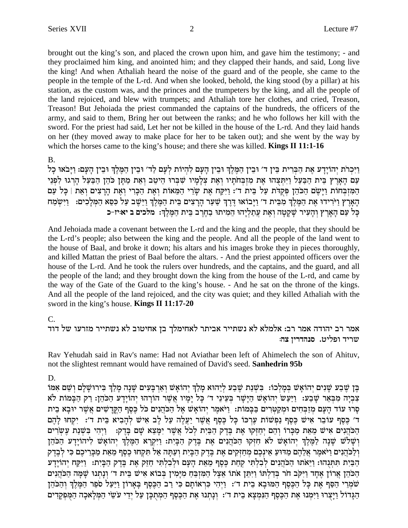brought out the king's son, and placed the crown upon him, and gave him the testimony; - and they proclaimed him king, and anointed him; and they clapped their hands, and said, Long live the king! And when Athaliah heard the noise of the guard and of the people, she came to the people in the temple of the L-rd. And when she looked, behold, the king stood (by a pillar) at his station, as the custom was, and the princes and the trumpeters by the king, and all the people of the land rejoiced, and blew with trumpets; and Athaliah tore her clothes, and cried, Treason, Treason! But Jehoiada the priest commanded the captains of the hundreds, the officers of the army, and said to them, Bring her out between the ranks; and he who follows her kill with the sword. For the priest had said, Let her not be killed in the house of the L-rd. And they laid hands on her (they moved away to make place for her to be taken out); and she went by the way by which the horses came to the king's house; and there she was killed. **Kings II 11:1-16** 

#### $B<sub>1</sub>$

וַיִּכְרֹת יְהוֹיַדַע אֶת הַבְּרִית בֵּין ד׳ וּבֵין הַמֶּלֵךְ וּבֵין הַעֲם לְהִיוֹת לְעָם לַד׳ וּבֵין הַמֶּלֵךְ וּבֵין הַעֲם: וַיַּבֹאוּ כָל עם הַאֲרֶץ בֵּית הַבַּעֲל וַיִּתְּצְהוּ אֶת מִזְבְחֹתַיו וְאֶת צְלַמַיו שִׁבְּרוּ הֵיטֶב וְאֶת מַתַּן כֹּהֶן הַבָּעַל הַרְגוּ לִפְנֵי המזבחות ויַשֶׂם הכהן פקדת על בית ד׳: וַיִּקַח אֶת שֶׂרִי הַמֵּאוֹת וְאֶת הַכָּרִי וְאֶת הַרְצִים וְאֶת | כַּל עַם הָאָרֶץ וַיֹּרִידוּ אֶת הַמֶּלֶךְ מִבִּית ד' וַיָּבוֹאוּ דֶּרֶךְ שַׁעַר הָרָצִים בֵּית הַמֵּלֵךְ וַיֵּשֵׁב עַל כִּסֵא הַמִּלָכִים: 「וַיִּשִׂמַח כַּל עַם הַאֲרַץ וְהַעִּיר שַׁקַטַה וָאֶת עֲתַלְיָהוּ הַמִיתוּ בַחֲרֹב בֵּית הַמֵּלֶךְ: מֹלְכִים ב יאוּיז-כ

And Jehoiada made a covenant between the L-rd and the king and the people, that they should be the L-rd's people; also between the king and the people. And all the people of the land went to the house of Baal, and broke it down; his altars and his images broke they in pieces thoroughly, and killed Mattan the priest of Baal before the altars. - And the priest appointed officers over the house of the L-rd. And he took the rulers over hundreds, and the captains, and the guard, and all the people of the land; and they brought down the king from the house of the L-rd, and came by the way of the Gate of the Guard to the king's house. - And he sat on the throne of the kings. And all the people of the land rejoiced, and the city was quiet; and they killed Athaliah with the sword in the king's house. **Kings II 11:17-20** 

## C.

אמר רב יהודה אמר רב: אלמלא לא נשתייר אביתר לאחימלך בן אחיטוב לא נשתייר מזרעו של דוד שריד ופליט. סנהדריו צה:

Rav Yehudah said in Rav's name: Had not Aviathar been left of Ahimelech the son of Ahituv, not the slightest remnant would have remained of David's seed. Sanhedrin 95b

D.

בֵּן שֶׁבַע שַׁנִים יְהוֹאַשׁ בִּמַלְכוֹ: בִּשְׁנַת שֶׁבַע לְיֵהוּא מַלַךְ יְהוֹאַשׁ וְאַרְבַּעִים שַׁנַה מַלַךְ בִּירוּשַׁלַם וְשֶׁם אָמּוֹ צִבְיָה מִבְאֵר שָׁבַע: וַיַּעֲשׂ יְהוֹאָשׁ הַיָּשָׁר בְּעֵינֵי ד׳ כָּל יָמָיו אֲשֵׁר הוֹרָהוּ יְהוֹיָדַע הַכֹּהֶן: רַק הַבָּמוֹת לֹא סְרוּ עוֹד הַעָּם מְזַבְּחִים וּמִקְטְרִים בַּבָּמוֹת: וַיֹּאמֶר יְהוֹאָשׁ אֵל הַכֹּהֲנִים כֹּל כֵּסֶף הַקֵּדָשִׁים אֲשֶׁר יוּבָא בִית ד׳ כַּסֵף עוֹבֵר אִישׁ כֵּסֵף נַפִּשׁוֹת עַרְכּוֹ כַּל כֵּסֵף אֲשֶׁר יַעֲלֶה עַל לְב אִישׁ לְהָבִיא בֵּית ד׳: יִקְחוּ לָהָם הַכֹּהֲנִים אִישׁ מֵאֵת מַכִּרוֹ וְהֵם יְחַזְקוּ אֶת בֵּדֶק הַבִּיָת לְכֹל אֲשֶׁר יִמַּצֵא שָׁם בַּדֶק: [יִהִי בִּשְׁנַת עֵשְׂרִים וְשָׁלֹשׁ שָׁנָה לַמֵּלֵךְ יְהוֹאָשׁ לֹא חִזְקוּ הַכֹּהֲנִים אֶת בֵּדֵק הַבָּיִת: וַיִּקְרָא הַמֵּלֵךְ יְהוֹאָשׁ לְיהוֹיָדָע הַכֹּהֵן וְלַכֹּהֲנִים וַיֹּאמֶר אֲלֵהֶם מַדוּעַ אֵינְכֵם מִחַזְּקִים אֵת בֵּדֵק הַבָּיִת וְעַתַּה אַל תִּקְחוּ כֵסֵף מֵאֵת מַכַּרֵיכֵם כִּי לְבֵדֵק הַבַּיָת תִּתְּנְהוּ: וַיֵּאֹתוּ הַכֹּהֲנִים לְבְלִתִּי קָחָת כֵּסֵף מֵאֶת הַעָּם וּלְבְלְתִּי חָזֵק אֶת בֵּדֶק הַבַּיָת: וַיִּקַח יְהוֹיַדֵּע הַכֹּהֶן אֲרוֹן אֶחָד וַיִּקְב חֹר בְּדַלְתּוֹ וַיִּתֵּן אֹתוֹ אֵצֶל הַמְזְבֵּחַ מִיַּמִין בְּבוֹא אִישׁ בֵּית ד׳ וְנַתְנוּ שַׁמַּה הַכֹּהֲנִים שֹׁמְרֵי הַסֵּף אֶת כַּל הַכֵּסֵף הַמּוּבַא בֵית ד׳: וַיִּהִי כִּרְאוֹתַם כִּי רַב הַכֵּסֵף בַּאֲרוֹן וַיַּעֲל סֹפֵר הַמֵּלֶךְ וְהַכֹּהֶן הַגָּדוֹל וַיַּצְרוּ וַיִּמְנוּ אֶת הַכֵּסֵף הַנִּמְצָא בֵית ד׳: וְנַתְנוּ אֶת הַכֵּסֵף הַמְתִכַּן עַל יְדֵי עֹשֵׂי הַמִּלָאכָה הַמִּפְקַדִים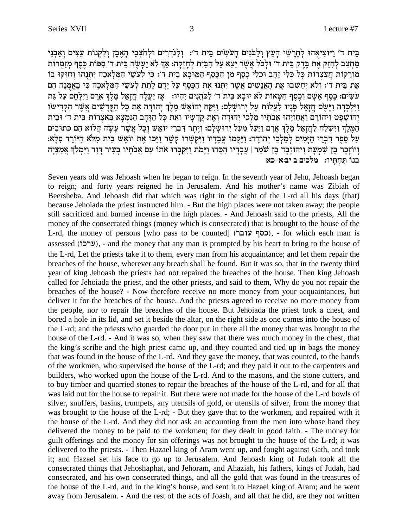בֵּית ד׳ וַיּוֹצִיאָהוּ לְחַרַשֵּׁי הָעֵץ וְלַבֹּנִים הָעֹשִׂים בֵּית ד׳: וְלַגֹּדְרִים וּלְחֹצְבֵי הָאֶבֶן וְלִקְנוֹת עֵצִים וְאָבְנֵי מַחָצֶב לְחָזֶק אֶת בֶּדֶק בֶּית ד׳ וּלְכֹל אֲשֶׁר יֵצֶא עַל הַבַּיִת לְחַזְקַה: אַךְ לֹא יַעֲשֶׂה בֵּית ד׳ סִפּוֹת כֵּסֵף מְזַמְּרוֹת מִזְרָקוֹת חֲצֹצְרוֹת כָּל כְּלִי זָהָב וּכְלִי כָסֶף מִן הַכֶּסֶף הַמּוּבָא בֵית ד׳: כִּי לְעֹשֵׂי הַמִּלָאכָה יִתְנָהוּ וְחִזְקוּ בוֹ אָת בֵּית ד׳: וְלֹא יִחַשִּׁבוּ אֵת הָאֲנָשִׁים אֲשֶׁר יִתְּנוּ אֶת הַכֶּסֶף עַל יָדָם לְתֵת לְעֹשֵׂי הַמְּלָאכָה כִּי בָאֱמְנָה הֵם עשים: כֵּסֵף אַשֵׁם וְכֵסֵף חַשַּׂאוֹת לֹא יוּבַא בֵּית ד׳ לְכֹּהְנִים יִהִיוּ: אֵז יַעֲלָה חַזָאֵל מַלֶךְ אַרם וַיִּלְחָם עַל גַּת וַיִּלְכְּדָהּ וַיָּשֶׁם חֲזָאֵל פָּנָיו לַעֲלוֹת עַל יְרוּשָׁלָם: וַיִּקַח יְהוֹאָשׁ מֶלֶךְ יְהוּדָה אֵת כָּל הַקְּדָשִׁים אֲשֶׁר הִקְדִישוּ יְהוֹשָׁפָט וִיהוֹרָם וַאֲחַזְיָהוּ אֲבֹתָיו מַלְבֵי יְהוּדָה וְאֶת קֳדָשָׁיו וְאֵת כָּל הַזָּהָב הַנִּמְצָא בִּאצִרוֹת בֵּית ד' וּבִית הַמֵּלֶךְ וַיִּשְׁלַח לַחֲזָאֵל מֵלֵךְ אֲרַם וַיַּעֲל מֵעֲל יְרוּשָׁלֵם: וְיֵחֵר דְבְרֵי יוֹאָשׁ וְכָל אֲשֶׁר עַשָּׂה הֲלוֹא הֵם כְּתוּבִים עַל סַפֶּר דִּבְרֵי הַיָּמִים לְמַלְכֵי יְהוּדָה: וַיָּקְמוּ עֲבָדָיו וַיִּקְשְׁרוּ קָשֶׁר וַיַּכּוּ אֶת יוֹאָשׁ בֵית מִלֹּא הַיּוֹרֵד סִלָּא: .<br>וִיוֹזַכַר בֵּן שִׁמְעָת וִיהוֹזֶכָר בֵּן שֹׁמֵר | עֲכָדְיו הִכָּהוּ וַיָּמְת וַיִּקְבְּרוּ אתו עם אֲבתָיו בְּעִיר דָוִד וַיִּמְלֹךְ אֲמַצְיָה בנו תחתיו: מלכים ב יב:א-כא

Seven years old was Jehoash when he began to reign. In the seventh year of Jehu, Jehoash began to reign; and forty years reigned he in Jerusalem. And his mother's name was Zibiah of Beersheba. And Jehoash did that which was right in the sight of the L-rd all his days (that) because Jehoiada the priest instructed him. - But the high places were not taken away; the people still sacrificed and burned incense in the high places. - And Jehoash said to the priests, All the money of the consecrated things (money which is consecrated) that is brought to the house of the L-rd, the money of persons [who pass to be counted] (כסף עובר), - for which each man is assessed (ערכו), - and the money that any man is prompted by his heart to bring to the house of the L-rd, Let the priests take it to them, every man from his acquaintance; and let them repair the breaches of the house, wherever any breach shall be found. But it was so, that in the twenty third year of king Jehoash the priests had not repaired the breaches of the house. Then king Jehoash called for Jehoiada the priest, and the other priests, and said to them, Why do you not repair the breaches of the house? - Now therefore receive no more money from your acquaintances, but deliver it for the breaches of the house. And the priests agreed to receive no more money from the people, nor to repair the breaches of the house. But Jehoiada the priest took a chest, and bored a hole in its lid, and set it beside the altar, on the right side as one comes into the house of the L-rd; and the priests who guarded the door put in there all the money that was brought to the house of the L-rd. - And it was so, when they saw that there was much money in the chest, that the king's scribe and the high priest came up, and they counted and tied up in bags the money that was found in the house of the L-rd. And they gave the money, that was counted, to the hands of the workmen, who supervised the house of the L-rd; and they paid it out to the carpenters and builders, who worked upon the house of the L-rd. And to the masons, and the stone cutters, and to buy timber and quarried stones to repair the breaches of the house of the L-rd, and for all that was laid out for the house to repair it. But there were not made for the house of the L-rd bowls of silver, snuffers, basins, trumpets, any utensils of gold, or utensils of silver, from the money that was brought to the house of the L-rd; - But they gave that to the workmen, and repaired with it the house of the L-rd. And they did not ask an accounting from the men into whose hand they delivered the money to be paid to the workmen; for they dealt in good faith. - The money for guilt offerings and the money for sin offerings was not brought to the house of the L-rd; it was delivered to the priests. - Then Hazael king of Aram went up, and fought against Gath, and took it; and Hazael set his face to go up to Jerusalem. And Jehoash king of Judah took all the consecrated things that Jehoshaphat, and Jehoram, and Ahaziah, his fathers, kings of Judah, had consecrated, and his own consecrated things, and all the gold that was found in the treasures of the house of the L-rd, and in the king's house, and sent it to Hazael king of Aram; and he went away from Jerusalem. - And the rest of the acts of Joash, and all that he did, are they not written

3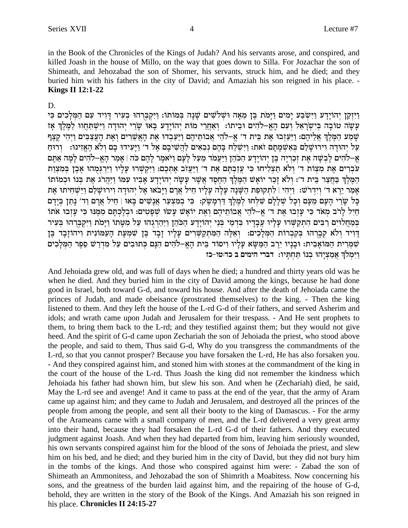in the Book of the Chronicles of the Kings of Judah? And his servants arose, and conspired, and killed Joash in the house of Millo, on the way that goes down to Silla. For Jozachar the son of Shimeath, and Jehozabad the son of Shomer, his servants, struck him, and he died; and they buried him with his fathers in the city of David; and Amaziah his son reigned in his place. -**Kings II 12:1-22** 

#### D.

וַיִּזְקַן יְהוֹיַדֵע וַיִּשְׂבַּע יַמְים וַיַּמֹת בֵּן מֵאָה וּשִׁלֹשִׁים שַׁנַה בְּמוֹתוֹ: וַיִּקִבְּרְהוּ בְעִיר דַּוְיד עִם הַמְּלַכְים כִּי עָשָׂה טוֹבָה בִּיְשְׂרָאֵל וְעָם הָאֵ–לֹהִים וּבִיתוֹ: וְאַחֲרֵי מוֹת יְהוֹיַדַע בָּאוּ שָׂרֵי יְהוּדָה וַיִּשְׁתַּחֲווּ לַמֵּלֵךְ אָז שָׁמַע הַמֶּלֶךְ אֲלֵיהֶם: וַיַּעַזְבוּ אֶת בֵּית ד' אֱ–לֹהֵי אֲבוֹתֵיהֶם וַיַּעַבְדוּ אֶת הָאֲשֵׁרִים וְאֶת הָעֲצַבִּים וַיְהִי קֶצֶף עַל יְהוּדַה וִירוּשַׁלַם בְּאַשְׁמַתָם זאת: וַיִּשְׁלַח בַּהֶם נִבְאִים לַהֲשִׁיבַם אֵל ד׳ וַיַּעִידוּ בַם וִלֹא הָאֱזִינוּ: [רוּחַ אֵ–לֹהִים לַבְשָׁה אֶת זְכָרְיַה בֵּן יְהוֹיַדַע הַכֹּהֶן וַיַּעֲמֹד מֵעֲל לַעָם וַיֹּאמֶר לַהֶם כֹּה | אַמַר הָאֵ–לֹהִים לַמַּה אָתֵּם עברים אֶת מִצְוֹת ד׳ וְלֹא תַצְלִיחוּ כִּי עֲזָבְתֶּם אֶת ד׳ וַיַּעֲזֹב אֶתְכֶם: וַיִּקְשָׁרוּ עֲלָיו וַיִּרְגִּמְהוּ אֶבֶן בִּמְצְוָת המלך בחצר בית ד׳: ולא זכר יואש המלך החסד אשר עשה יהוידע אביו עמו ויהרג את בנו וכמותו אַמַר יֵרָא ד׳ וְיִדְרֹשׁ: וַיְיָהִי | לְתְקוּפַת הַשָּׁנָה עַלָּה עַלֵיו חֵיל אֲרָם וַיַּבֹאוּ אֵל יְהוּדַה וְירוּשָׁלַם וַיַּשְׁחִיתוּ אֶת כָּל שָׂרֵי הַעָּם מֵעָם וְכָל שִׁלַלַם שִׁלְחוּ לְמֵלֶךְ דְרְמָשֵׂק: כִּי בְמִצְעָר אֲנָשִׁים בָּאוּ | הֵיל אֲרַם וַד׳ נָתַן בְיַדַם חַיִל לַרֹב מְאֹד כִּי עַזְבוּ אֶת ד' אֵ-לֹהֵי אֲבוֹתֵיהֶם וְאֶת יוֹאָשׁ עַשׁוּ שִׁפְטִים: וּבְלֵכְתַּם מִמְּנוּ כִּי עַזְבוּ אֹתוֹ בִּמְחֲלֹוּיָם רַבִּים הִתְקַשְּׁרוּ עָלַיו עֲבָדָיו בִּדְמֵי בְּנֵי יְהוֹיָדָע הַכֹּהֶן וַיַּהַרְגְהוּ עַל מְטַתוֹ וַיָּמֹת וַיִּקִבְּרְהוּ בְּעִיר דְיִיד וְלֹא קִבְרָהוּ בְקִבְרוֹת הַמְּלָבִים: וְאֵלֶה הַמִּתְקַשְׁרִים עָלְיוּ זָבָד בֶּן שִׁמְעָת הָעַמוֹנִית וִיהוֹזָבָד בֶּן שִׁמְרִית הַמּוֹאָבִית: וּבָנָיו יִרֶב הַמַּשָּׂא עָלְיו וִיסוד בֵּית הָאֵֶ–לֹהִים הִנָּם כִּתוּבִים עַל מִדְרַשׁ סֵפֶר הַמִּלְכִים וימלך אמציהו בנו תחתיו: דברי הימים ב כד:טו-כז

And Jehoiada grew old, and was full of days when he died; a hundred and thirty years old was he when he died. And they buried him in the city of David among the kings, because he had done good in Israel, both toward G-d, and toward his house. And after the death of Jehoiada came the princes of Judah, and made obeisance (prostrated themselves) to the king. - Then the king listened to them. And they left the house of the L-rd G-d of their fathers, and served Asherim and idols; and wrath came upon Judah and Jerusalem for their trespass. - And He sent prophets to them, to bring them back to the L-rd; and they testified against them; but they would not give heed. And the spirit of G-d came upon Zechariah the son of Jehoiada the priest, who stood above the people, and said to them, Thus said G-d, Why do you transgress the commandments of the L-rd, so that you cannot prosper? Because you have forsaken the L-rd, He has also forsaken you. - And they conspired against him, and stoned him with stones at the commandment of the king in the court of the house of the L-rd. Thus Joash the king did not remember the kindness which Jehoiada his father had shown him, but slew his son. And when he (Zechariah) died, he said, May the L-rd see and avenge! And it came to pass at the end of the year, that the army of Aram came up against him; and they came to Judah and Jerusalem, and destroyed all the princes of the people from among the people, and sent all their booty to the king of Damascus. - For the army of the Arameans came with a small company of men, and the L-rd delivered a very great army into their hand, because they had forsaken the L-rd G-d of their fathers. And they executed judgment against Joash. And when they had departed from him, leaving him seriously wounded, his own servants conspired against him for the blood of the sons of Jehoiada the priest, and slew him on his bed, and he died; and they buried him in the city of David, but they did not bury him in the tombs of the kings. And those who conspired against him were: - Zabad the son of Shimeath an Ammonitess, and Jehozabad the son of Shimrith a Moabitess. Now concerning his sons, and the greatness of the burden laid against him, and the repairing of the house of G-d, behold, they are written in the story of the Book of the Kings. And Amaziah his son reigned in his place. Chronicles II 24:15-27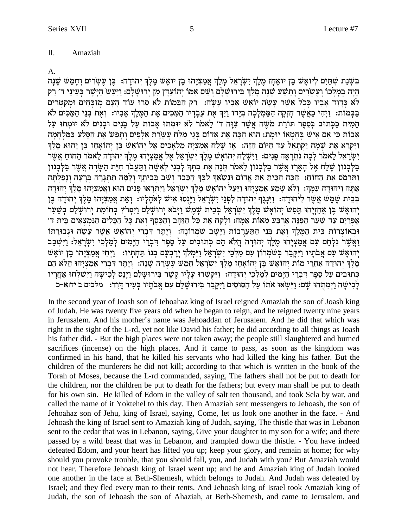#### Π. Amaziah

#### A.

בִּשְׁנַת שְׁתַּיִם לְיוֹאָשׁ בֵּן יוֹאָחָז מֵלֵךְ יִשְׂרַאֵל מַלַךְ אֲמַצְיָהוּ בֵן יוֹאָשׁ מֵלֵךְ יְהוּדָה: בֵּן עֵשְׂרִים וְחָמֵשׁ שָׁנָה הַיָּה בְמַלְכוֹ וְעֵשְׂרִים וַתֵּשָׁע שַׁנָּה מַלַךְ בִּירוּשַׁלֵם וְשֵׁם אָמּוֹ יְהוֹעֲדָן מִן יְרוּשַׁלַם: וַיַּעַשׂ הַיַּשַׁר בִּעֵינֵי ד׳ רַק לא כדוד אביו ככל אשר עשה יואש אביו עשה: רק הבמות לא סרו עוד העם מזבחים ומקטרים בַּבָּמוֹת: וַיְהִי כָּאֲשֶׁר חַזְקָה הַמַּמְלָכָה בְּיָדוֹ וַיַּךְ אֶת עֲבָדָיו הַמַּכִּים אֶת הַמֵּלֶךְ אָבִיו: וְאֶת בְּנֵי הַמַּכִּים לֹא המית ככתוב בספר תורת משה אשר צוה ד׳ לאמר לא יומתו אבות על בנים ובנים לא יומתו על אָבות כִּי אִם אִישׁ בַּחֵטְאוֹ יוּמַת: הוֹא הִכָּה אֶת אֱדוֹם בְּגֵי מֶלַח עֲשֶׂרֶת אֲלָפִים וְתַפָּשׂ אֶת הַסֶּלַע בַּמְּלְחָמָה וַיִּקְרַא אֶת שָׁמַה יַקְתַאָל עַד הִיּוֹם הַזֶּה: אַז שַׁלַח אַמַצִיַה מַלְאַכִים אֵל יְהוֹאֵשׁ בֵּן יְהוֹאַחָז בֵּן יְהוֹא מֵלְךְ ישראל לאמר לכה נתראה פנים: וישלח יהואש מלך ישראל אל אמציהו מלך יהודה לאמר החוח אשר בַּלְבָנוֹן שַׁלַח אֵל הַאֲרֶז אֲשֶׁר בַּלְבָנוֹן לַאמֹר תִּנָה אֶת בְּתִּךְ לְבְנִי לְאִשָּׁה וַתַּעֲבֹר הַיַּת הַשָּׂדֶה אֲשֶׁר בַּלְבָנוֹן וַתְּרְמֹס אֶת הַחוֹחַ: הַכֶּה הִכִּית אֶת אֱדוֹם וּנִשָּׁאֲךָ לְבֵּךְ הִכָּבִד וְשֵׁב בְּבֵיתֵךְ וְלָמָה תִתְגָּרֵה בְּרַעָּה וְנַפְלְתַּה אַתַּה וִיהוּדַה עִמַּךְ: וְלֹא שַׁמַע אֲמַצִיָהוּ וַיַּעֲל יְהוֹאֵשׁ מֵלֵךְ יִשְׂרָאֵל וַיִּתְרָאוּ פַנִים הוּא וַאֲמַצִיָהוּ מֵלֵךְ יְהוּדַה בְּבֵית שֶׁמֲשׁ אֲשֶׁר לְיהוּדָה: וַיִּנַּגֵף יִהוּדָה לְפְנֵי יִשְׂרָאֵל וַיַּנְסוּ אִישׁ לְאֹהָלָיו: וְאֶת אֲמַצְיָהוּ מֶלֶךְ יְהוּדָה בֵּן יְהוֹאָשׁ בֵּן אֲחַזִיָהוּ תַּפַּשׂ יִהוֹאָשׁ מֵלֵךְ יִשְׂרָאֵל בִּבִית שָׁמֵשׁ וַיָּבֹא יִרוּשָׁלַם וַיִּפִרץ בְחוֹמַת יִרוּשָׁלַם בִּשַּׁעַר אֶפְרַיִם עַד שַׁעַר הַפִּנָּה אַרְבַּע מֵאוֹת אַמָּה: וְלַקַח אֶת כָּל הַזָּהָב וְהַבֶּסֶף וְאֶת כָּל הַבֵּלִים הַנִּמְצְאִים בֵּית ד׳ וּבְאוֹצְרוֹת בֵּית הַמֵּלֵךְ וְאֶת בְּנֵי הַתַּעֲרָבוֹת וַיָּשָׁב שֹׁמְרוֹנָה: וְיֵתֵר דְּבְרֵי יְהוֹאָשׁ אֲשֶׁר עָשָׂה וּגִבוּרָתוֹ וַאֲשֵׁר נִלְחַם עִם אֲמַצִיָהוּ מֶלֶךְ יהוּדָה הֲלֹא הֵם כְּתוּבִים עַל סֵפֶר דִּבְרֵי הַיָּמִים לְמַלְכֵי יִשְׂרָאֵל: וַיִּשְׁכַּב יְהוֹאַשׁ עִם אֲבֹתַיו וַיִּקַּבֵר בְּשׁמְרוֹן עִם מַלְכֵי יִשְׂרָאֵל וַיִּמְלֹךְ יַרֲבְעֵם בְּנוֹ תַּחִתְּיו: וַיִּחִי אֲמַצְיָהוּ בֵן יוֹאַשׁ ְמֵלֶךְ יְהוּדָה אַחֲרֵי מוֹת יְהוֹאָשׁ בֵּן יְהוֹאָחַז מֶלֶךְ יְשָׂרָאֵל חֲמֵשׁ עֵשְׂרָה שָׁנָה: וְיֵתֵר דְּבְרֵי אֲמַצְיָהוּ חֲלֹא הֵם כְתוּבִים עַל סֵפֶר דִּבְרֵי הַיָּמִים לְמַלְבֵי יְהוּדָה: וַיִּקְשָׁרוּ עָלְיו קֶשֶׁר בִּירוּשָׁלַם וַיָּנָס לָכִישָׁה וַיִּשְׁלְחוּ אַחֲרָיו לְכִישָׁה וַיִּמְתְהוּ שֵׁם: וַיִּשְׂאוּ אֹתוֹ עַל הַסּוּסִים וַיִּקְבֵר בִּירוּשָׁלֵם עִם אָבֹתַיו בַּעִיר דַוְד: מלכים ב ידוּא-כ

In the second year of Joash son of Jehoahaz king of Israel reigned Amaziah the son of Joash king of Judah. He was twenty five years old when he began to reign, and he reigned twenty nine years in Jerusalem. And his mother's name was Jehoaddan of Jerusalem. And he did that which was right in the sight of the L-rd, yet not like David his father; he did according to all things as Joash his father did. - But the high places were not taken away; the people still slaughtered and burned sacrifices (incense) on the high places. And it came to pass, as soon as the kingdom was confirmed in his hand, that he killed his servants who had killed the king his father. But the children of the murderers he did not kill; according to that which is written in the book of the Torah of Moses, because the L-rd commanded, saying, The fathers shall not be put to death for the children, nor the children be put to death for the fathers; but every man shall be put to death for his own sin. He killed of Edom in the valley of salt ten thousand, and took Sela by war, and called the name of it Yoktehel to this day. Then Amaziah sent messengers to Jehoash, the son of Jehoahaz son of Jehu, king of Israel, saying, Come, let us look one another in the face. - And Jehoash the king of Israel sent to Amaziah king of Judah, saying, The thistle that was in Lebanon sent to the cedar that was in Lebanon, saying, Give your daughter to my son for a wife; and there passed by a wild beast that was in Lebanon, and trampled down the thistle. - You have indeed defeated Edom, and your heart has lifted you up; keep your glory, and remain at home; for why should you provoke trouble, that you should fall, you, and Judah with you? But Amaziah would not hear. Therefore Jehoash king of Israel went up; and he and Amaziah king of Judah looked one another in the face at Beth-Shemesh, which belongs to Judah. And Judah was defeated by Israel; and they fled every man to their tents. And Jehoash king of Israel took Amaziah king of Judah, the son of Jehoash the son of Ahaziah, at Beth-Shemesh, and came to Jerusalem, and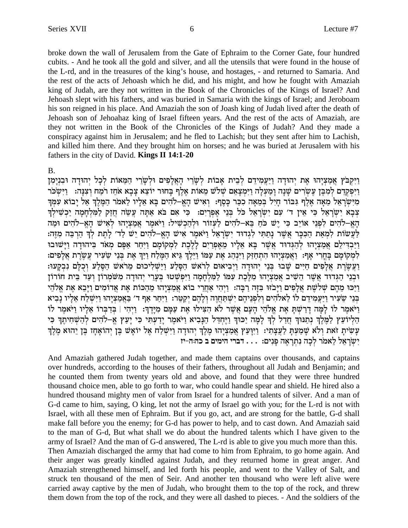broke down the wall of Jerusalem from the Gate of Ephraim to the Corner Gate, four hundred cubits. - And he took all the gold and silver, and all the utensils that were found in the house of the L-rd, and in the treasures of the king's house, and hostages, - and returned to Samaria. And the rest of the acts of Jehoash which he did, and his might, and how he fought with Amaziah king of Judah, are they not written in the Book of the Chronicles of the Kings of Israel? And Jehoash slept with his fathers, and was buried in Samaria with the kings of Israel; and Jeroboam his son reigned in his place. And Amaziah the son of Joash king of Judah lived after the death of Jehoash son of Jehoahaz king of Israel fifteen years. And the rest of the acts of Amaziah, are they not written in the Book of the Chronicles of the Kings of Judah? And they made a conspiracy against him in Jerusalem; and he fled to Lachish; but they sent after him to Lachish, and killed him there. And they brought him on horses; and he was buried at Jerusalem with his fathers in the city of David. Kings II 14:1-20

#### **B.**

וַיִּקְבֹּץ אֲמַצְיָהוּ אֶת יְהוּדַה וַיַּעֲמִידֵם לְבֵית אֲבוֹת לְשָׂרֵי הָאֱלָפִים וּלְשָׂרֵי הָמֵאוֹת לְכָל יְהוּדַה וּבְנִימְן וַיִּפְקְרֵם לִמְבֵּן עֵשׂרים שַׁנָה וַמַעֲלָה וַיִּמִצָאֵם שָׁלֹשׁ מֵאוֹת אֲלֵף בַּחוּר יוֹצֵא צַבַא אֹחֶז רֹמַח וִצְנַה: - וַיִּשִׂכֹּר מִיְשְׂרָאֵל מֵאָה אֵלֵף גִּבּוֹר חַיִל בִּמֵאָה כְכַר כַּסֵף: וְאִישׁ הָאֵ-לֹהִים בַּא אֵלֵיו לֵאמֹר הַמֵּלֵךְ אַל יַבוֹא עִמְךָ צִבָא יִשְׂרָאֵל כִּי אִין ד׳ עִם יִשְׂרָאֵל כֹּל בְּנֵי אִפְרִיִם: כִּי אִם בֹּא אַתָּה עֲשֶה חַזַק לַמִּלְחָמָה יַכְשִׁילְךָ הַאֲ–לֹהִים לְפְנֵי אוֹיֶב כִּי יֵשׁ כֹּחַ בֵּא–לֹהִים לַעֲזוֹר וּלְהַכְשִׁיל: וַיֹּאמֶר אֲמַצְיָהוּ לְאִישׁ הָאֵ–לֹהִים וּמַה לַעֲשׂוֹת לִמְאַת הַכִּכָּר אֲשֶׁר נָתַתִּי לְגִדוּד יִשְׂרָאֵל וַיֹּאמֶר אִישׁ הָאֵ-לֹהִים יֵשׁ לַד׳ לָתֵת לִדְ הַרִבֵּה מְזֶה: וַיַּבְדִילֵם אַמַצְיָהוּ לְהַגִּדוּד אֲשֶׁר בָּא אֲלֵיו מֵאִפְרַיִם לַלֵּכֶת לְמִקוֹמַם וַיִּחַר אַפָּם מִאֹד בִּיהוּדַה וַיַּשׁוֹבוּ לְמְקוֹמָם בַּחֲרִי אַף: וַאֲמַצְיָהוּ הִתְחַזַּק וַיִּנְהַג אֶת עַמּוֹ וַיֵּלֵךְ גִּיא הַמֵּלַח וַיַּךְ אֶת בִּנֵי שֵׂעִיר עֲשֶׂרֶת אֲלָפִים: וַעֲשֶׂרֶת אֲלָפִים חַיִּים שַׁבוּ בְּנֵי יהוּדָה וַיִּבִיאוּם לְרֹאשׁ הַסָּלַע וַיַּשִׁלִיכוּם מַרֹאשׁ הַסֶּלַע וִכְלַם נִבְקַעוּ: וּבְנֵי הַגִּדוּד אֲשֶׁר הֵשִׁיב אֲמַצִיָהוּ מִלֶּכֶת עִמּוֹ לַמִּלְחָמָה וַיִּפְשָׁטוּ בְּעָרֵי יְהוּדָה מִשֹּׂמְרוֹן וְעַד בֵּית חוֹרוֹן וַיַּכוּ מֵהֶם שִׁלֹשֶׁת אֲלָפִים וַיַּבֹזוּ בִּזַּה רַבָּה: וַיִּהִי אַחֲרֵי בוֹא אֲמַצְיָהוּ מֵהֲכוֹת אֶת אֲדוֹמִים וַיָּבֵא אֶת אֱלֹהֵי בּנֵי שֶעִיר וַיַּעֲמִידָם לוֹ לָאלֹהִים ולִפְנֵיהֵם יִשְׁתַּחֲוָה וְלָהֶם יִקְטֵר: וַיִּחַר אַף ד׳ בַּאֲמַצִיָהוּ וַיִּשָׁלָח אָלְיוּ נַבִיא וַיֹּאמֶר לוֹ לַמָּה דָרַשְׁתַּ אֶת אֱלֹהֵי הָעָם אֲשֶׁר לֹא הִצִּילוּ אֶת עַמַּם מִיַּדֶךָ: וַיְהִי | בְּדַבְרוֹ אֲלַיו וַיֹּאמֶר לוֹ הַלְיוֹעֵץ לַמֵּלֵךְ נִתַּנּוּךְ חַדַל לְךָ לָמָה יַכּוּךְ וַיֶּחְדַל הַנָּבִיא וַיֹּאמֶר יְדַעְתִּי כִּי יְעַץ אֱ–לֹהִים לְהַשְׁחִיתֶךְ כִּי עְשִׂיתְ זֹאת וְלֹא שָׁמַעְתָ לַעֲצָתִי: וַיִּיְנַעַץ אֲמַצְיָהוּ מֶלֶךְ יְהוּדָה וַיִּשְׁלַח אֶל יוֹאָשׁ בֶּן יְהוֹאָחָז בֶּן יִהוּא מֶלֶךְ יִשְׂרָאֱל לֵאמֹר לְכָה נִתְרָאֶה פַּנִים: . . . דברי הימים ב כה:ה-יז

And Amaziah gathered Judah together, and made them captains over thousands, and captains over hundreds, according to the houses of their fathers, throughout all Judah and Benjamin; and he counted them from twenty years old and above, and found that they were three hundred thousand choice men, able to go forth to war, who could handle spear and shield. He hired also a hundred thousand mighty men of valor from Israel for a hundred talents of silver. And a man of G-d came to him, saying, O king, let not the army of Israel go with you; for the L-rd is not with Israel, with all these men of Ephraim. But if you go, act, and are strong for the battle, G-d shall make fall before you the enemy; for G-d has power to help, and to cast down. And Amaziah said to the man of G-d, But what shall we do about the hundred talents which I have given to the army of Israel? And the man of G-d answered, The L-rd is able to give you much more than this. Then Amaziah discharged the army that had come to him from Ephraim, to go home again. And their anger was greatly kindled against Judah, and they returned home in great anger. And Amaziah strengthened himself, and led forth his people, and went to the Valley of Salt, and struck ten thousand of the men of Seir. And another ten thousand who were left alive were carried away captive by the men of Judah, who brought them to the top of the rock, and threw them down from the top of the rock, and they were all dashed to pieces. - And the soldiers of the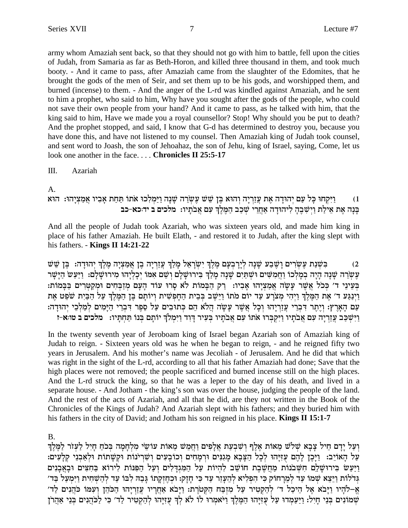army whom Amaziah sent back, so that they should not go with him to battle, fell upon the cities of Judah, from Samaria as far as Beth-Horon, and killed three thousand in them, and took much booty. - And it came to pass, after Amaziah came from the slaughter of the Edomites, that he brought the gods of the men of Seir, and set them up to be his gods, and worshipped them, and burned (incense) to them. - And the anger of the L-rd was kindled against Amaziah, and he sent to him a prophet, who said to him, Why have you sought after the gods of the people, who could not save their own people from your hand? And it came to pass, as he talked with him, that the king said to him, Have we made you a royal counsellor? Stop! Why should you be put to death? And the prophet stopped, and said, I know that G-d has determined to destroy you, because you have done this, and have not listened to my counsel. Then Amaziah king of Judah took counsel, and sent word to Joash, the son of Jehoahaz, the son of Jehu, king of Israel, saying, Come, let us look one another in the face.... Chronicles II 25:5-17

#### Ш. Azariah

A.

#### וַיִּקְחוּ כָּל עַם יִהוּדָה אֶת עֲזַרִיָה וִהוּא בֶּן שֵׁשׁ עֶשְׂרֵה שָׁנָה וַיַּמִלְכוּ אֹתוֹ תַּחַת אָבִיו אֲמַצִיָהוּ: הוּא  $(1)$ בנה את אילת וישבה ליהודה אחרי שכב המלך עם אבתיו: מלכים ב ידוכא-כב

And all the people of Judah took Azariah, who was sixteen years old, and made him king in place of his father Amaziah. He built Elath, - and restored it to Judah, after the king slept with his fathers.  $-$  Kings II 14:21-22

בִּשְׁנַת עֵשְׂרִים וַשֵּׁבַע שָׁנָה לְיַרַבְעָם מֵלֶךְ יִשְׂרָאֵל מַלַךְ עֲזַרְיָה בֵן אֲמַצְיָה מֵלֶךְ יְהוּדָה: בֵּן שֵׁשׁ  $(2)$ עֲשָׂרֵה שַׁנָה הַיָּה בְמַלְכוֹ וַחֲמִשִּׁים וּשִׁתַּיִם שַׁנָה מַלַךְ בִּירוּשַׁלַם וְשֵׁם אָמּוֹ יְכָלְיָהוּ מִירוּשַׁלַם: וַיַּעַשׂ הַיַּשַׁר בִּעֵינֵי ד׳ כְּכֹל אֲשֶׁר עָשָׂה אֲמַצְיָהוּ אָבְיו: דַק הַבָּמוֹת לֹא סָרוּ עוֹד הָעָם מְזַבְּחִים וּמְקַטְרִים בַּבָּמוֹת: וַיְנַגַּע ד׳ אֶת הַמֶּלֶךְ וַיָּהִי מְצֹרַע עַד יוֹם מֹתוֹ וַיֵּשֶׁב בְּבֵית הַחַפְּשִׁית וְיוֹתַם בֵּן הַמֵּלֶךְ עַל הַבִּיִת שֹׁפֵט אֶת עם הארץ: ויתר דברי עזריהו וכל אשר עשה הלא הם כתובים על ספר דברי הימים למלכי יהודה: וישכב עזריה עם אבתיו ויקברו אתו עם אבתיו בעיר דוד וימלך יותם בנו תחתיו: מלכים ב טו:א-ז

In the twenty seventh year of Jeroboam king of Israel began Azariah son of Amaziah king of Judah to reign. - Sixteen years old was he when he began to reign, - and he reigned fifty two years in Jerusalem. And his mother's name was Jecoliah - of Jerusalem. And he did that which was right in the sight of the L-rd, according to all that his father Amaziah had done; Save that the high places were not removed; the people sacrificed and burned incense still on the high places. And the L-rd struck the king, so that he was a leper to the day of his death, and lived in a separate house. - And Jotham - the king's son was over the house, judging the people of the land. And the rest of the acts of Azariah, and all that he did, are they not written in the Book of the Chronicles of the Kings of Judah? And Azariah slept with his fathers; and they buried him with his fathers in the city of David; and Jotham his son reigned in his place. Kings II 15:1-7

## **B.**

וְעַל יַדָם חֵיל צָבָא שָׁלֹשׁ מֵאוֹת אֱלֵף וְשִׁבְעָת אֱלַפִּים וַחֲמֵשׁ מֵאוֹת עוֹשֵׂי מְלִחֲמָה בְּכֹחָ חַיִל לַעְזֹר לַמֵּלֵךְ עֵל הַאוֹיֵב: וַיָּכֵן לָהֶם עִזְיָּהוּ לְכָל הַצָּבָא מַגְנִים וּרְמַחִים וְכוֹבַעִים וְשִׁרִינוֹת וּקְשָׁתוֹת וּלְאַבְנֵי קִלְעִים: וַיַּעַשׂ בִּירוּשָׁלֵם חִשְׁבֹנוֹת מַחֲשֶׁבֶת חוֹשֶׁב לְהִיוֹת עַל הַמְגִדַּלִים וְעַל הַפְּנוֹת לִירוֹא בַּחִצִּים וּבָאֲבָנִים גְדלוֹת וַיֵּצֵא שִׁמוֹ עַד לְמֵרַחוֹק כִּי הִפְלִיא לְהֵעָזֵר עַד כִּי חַזַק: וּכְחֵזְקַתוֹ גַּבַהּ לְבּוֹ עַד לְהַשָּׁחִית וַיִּמְעַל בַּד׳ אַ–לֹהֵיו וַיָּבֹא אֵל הֵיכָל ד׳ לְהַקְטִיר עַל מִזְבָּח הַקְטֹרֵת: וַיָּבֹא אָחֲרֵיו עֲזֶרְיָהוּ הַכֹּהֶן וְעִמּו כֹּהֵנִים לַד׳ שְׁמוֹנִים בְּנֵי חָיִל: וַיַּעַמְדוּ עַל עָזִיְהוּ הַמֶּלֶךְ וַיֹּאמְרוּ לוֹ לֹא לְךָ עָזִיָּהוּ לְהַקְטִיר לַד׳ כִּי לַכּהֲנִים בְּנֵי אַהֲרֹן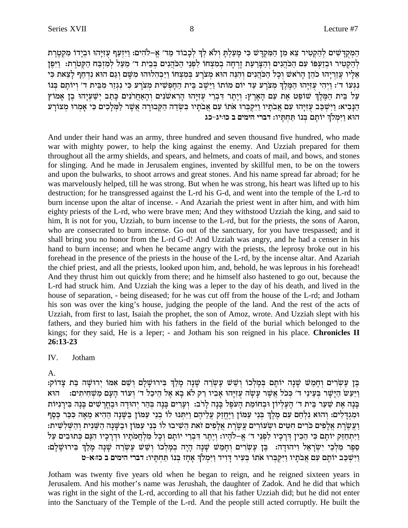הַמְקִדַּשִׁים לְהַקְטִיר צֵא מְן הַמִּקְדָּשׁ כִּי מַעֲלְתַּ וְלֹא לְךָּ לְכָבוֹד מֵד׳ אֵֶ–לֹהִים: וַיִּזְעַף עִזְיַּהוּ וּבְיָדוֹ מִקְטֵרֵת לְהַקְטִיר וּבְזַעְפּוֹ עִם הַכֹּהֲנִים וְהַצְּרֵעָת זַרְחָה בְמִצְחוֹ לְפְנֵי הַכֹּהֲנִים בְּבֵית ד׳ מֵעֲל לְמִזְבָּח הַקְטֹרֵת: זַיִּפֵן אֱלִיו עֲזֵרְיָהוּ כֹהֶן הַרֹאשׁ וְכָל הַכֹּהֲנִים וְהָנֶה הוּא מִצֹרְע בְּמִצְחוֹ וַיַּבְהָלוּהוּ מִשָּׁם וְגַם הוּא נְדְחַף לַצֵאת כִּי נְגְעוֹ ד': וַיְהִי עְזִיַּהוּ הַמֵּלֵךְ מְצֹרַע עָד יוֹם מוֹתוֹ וַיֵּשֶׁב בֵּית הַחַפְשִׁית מְצֹרַע כִּי נְגְזֵר מְבֵית ד' וְיוֹתַם בְּנוֹ עַל בֵּית הַמֵּלֶךְ שׁוֹפֵט אֶת עַם הַאֲרִץ: וַיַּתֵר דִּבְרֵי עַזְיַּהוּ הַראשׂנִים וְהָאַחֲרֹנִים כַּתֲב יִשָּׁעֲיָהוּ בֵן אַמוֹץ הַנַּבִיא: וַיִּשְׁכַּב עִזְיָּהוּ עִם אֲבֹתַיו וַיִּקִבְּרוּ אֹתוֹ עִם אֲבֹתַיו בִּשְׂדֶה הַקְּבוּרָה אֲשֶׁר לַמְלַכִים כִּי אֲמְרוּ מְצוֹרַע הוא וימלך יותם בנו תחתיו: דברי הימים ב כוויג-כג

And under their hand was an army, three hundred and seven thousand five hundred, who made war with mighty power, to help the king against the enemy. And Uzziah prepared for them throughout all the army shields, and spears, and helmets, and coats of mail, and bows, and stones for slinging. And he made in Jerusalem engines, invented by skillful men, to be on the towers and upon the bulwarks, to shoot arrows and great stones. And his name spread far abroad; for he was marvelously helped, till he was strong. But when he was strong, his heart was lifted up to his destruction; for he transgressed against the L-rd his G-d, and went into the temple of the L-rd to burn incense upon the altar of incense. - And Azariah the priest went in after him, and with him eighty priests of the L-rd, who were brave men; And they withstood Uzziah the king, and said to him, It is not for you, Uzziah, to burn incense to the L-rd, but for the priests, the sons of Aaron, who are consecrated to burn incense. Go out of the sanctuary, for you have trespassed; and it shall bring you no honor from the L-rd G-d! And Uzziah was angry, and he had a censer in his hand to burn incense; and when he became angry with the priests, the leprosy broke out in his forehead in the presence of the priests in the house of the L-rd, by the incense altar. And Azariah the chief priest, and all the priests, looked upon him, and, behold, he was leprous in his forehead! And they thrust him out quickly from there; and he himself also hastened to go out, because the L-rd had struck him. And Uzziah the king was a leper to the day of his death, and lived in the house of separation, - being diseased; for he was cut off from the house of the L-rd; and Jotham his son was over the king's house, judging the people of the land. And the rest of the acts of Uzziah, from first to last, Isaiah the prophet, the son of Amoz, wrote. And Uzziah slept with his fathers, and they buried him with his fathers in the field of the burial which belonged to the kings; for they said, He is a leper; - and Jotham his son reigned in his place. Chronicles II  $26:13-23$ 

#### $\mathbf{I} \mathbf{V}$ Jotham

#### $A<sub>1</sub>$

בֵּן עֵשְׂרִים וְחָמֵשׁ שַׁנָה יוֹתַם בִּמַלְכוֹ וְשֵׁשׁ עֵשְׂרֵה שַׁנָה מַלַּךְ בִּירוּשָׁלָם וְשֵׁם אִמּוֹ יִרוּשָׁה בַּת צָדוֹק: וַיַּעֲשׂ הַיַּשֵׁר בְּעֵינֵי ד׳ כְּכֹל אֲשֶׁר עַשָׂה עִזְיַּהוּ אֲבְיו רַק לֹא בָא אֵל הֵיכָל ד׳ וְעוֹד הַעַם מַשְׁחִיתִים: הוא בַּנָה אֶת שַׁעַר בֵּית ד׳ הַעֵּלְיוֹן וּבְחוֹמַת הַעֹפֵל בַּנָה לַרֹב: וְעַרִים בַּנָה בְּהַר יְהוּדַה וּבֶחֲרָשִׁים בַּנָה בִּירַנְיּוֹת וּמִגְדָלִים: וְהוּא נִלְחַם עִם מֶלֶךְ בְּנֵי עַמּוֹן וַיֶּחֱזַק עֲלֵיהֶם וַיִּתְּנוּ לוֹ בְנֵי עַמּוֹן בַּשָּׁנָה הַהִיא מֵאָה כִּכַּר כֶּסֶף וַעֲשֶׂרֶת אֲלָפִים כֹּרים חִטִּים וּשִׂעוֹרים עֲשֶׂרֶת אֲלָפִים זֹאת הֵשִׁיבוּ לוֹ בִּנֵי עַמּוֹן וּבַשֵּׁנָה הַשֵּׁנִית וְהַשִּׁלְשִׁית: וַיְּתְחָזֶק יוֹתַם כִּי הֱכִין דְּרַכִיו לִפְנֵי ד׳ אֱ–לֹהָיו: וְיֵתֶר דְּבְרֵי יוֹתַם וְכָל מְלְחֲמֹתַיו וּדְרַכִיו הִנַּם כְּתוּבִים עָל סֶפֶר מַלְכֵי יִשְׂרָאֵל וְיהוּדַה: בֵּן עֵשְׂרִים וְחָמֵשׁ שַׁנָה הָיָה בְמַלְכוֹ וְשֵׁשׁ עֵשְׂרֵה שַׁנָה מַלַךְ בִּירוּשָׁלַַם: וַיִּשְׁכָּב יוֹתַם עִם אֲבֹתַיו וַיִּקְבְּרוּ אֹתוֹ בִּעִיר דְּוִיד וַיִּמְלֹךְ אַחָז בְּנוֹ תַּחְתַּיו: דברי הימים ב כז:א-ט

Jotham was twenty five years old when he began to reign, and he reigned sixteen years in Jerusalem. And his mother's name was Jerushah, the daughter of Zadok. And he did that which was right in the sight of the L-rd, according to all that his father Uzziah did; but he did not enter into the Sanctuary of the Temple of the L-rd. And the people still acted corruptly. He built the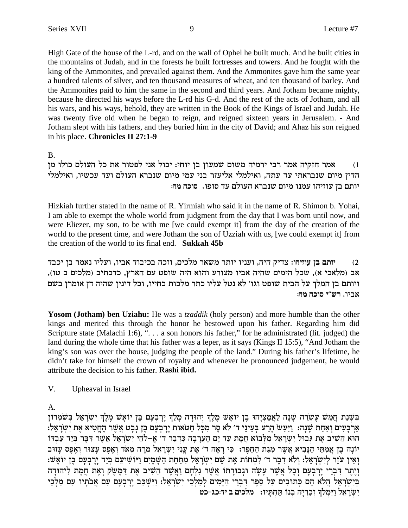High Gate of the house of the L-rd, and on the wall of Ophel he built much. And he built cities in the mountains of Judah, and in the forests he built fortresses and towers. And he fought with the king of the Ammonites, and prevailed against them. And the Ammonites gave him the same year a hundred talents of silver, and ten thousand measures of wheat, and ten thousand of barley. And the Ammonites paid to him the same in the second and third years. And Jotham became mighty, because he directed his ways before the L-rd his G-d. And the rest of the acts of Jotham, and all his wars, and his ways, behold, they are written in the Book of the Kings of Israel and Judah. He was twenty five old when he began to reign, and reigned sixteen years in Jerusalem. - And Jotham slept with his fathers, and they buried him in the city of David; and Ahaz his son reigned in his place. Chronicles II 27:1-9

**B.** 

אמר חזקיה אמר רבי ירמיה משום שמעון בן יוחי: יכול אני לפטור את כל העולם כולו מן  $(1)$ הדין מיום שנבראתי עד עתה, ואילמלי אליעזר בני עמי מיום שנברא העולם ועד עכשיו, ואילמלי יותם בן עוזיהו עמנו מיום שנברא העולם עד סופו. סוכה מה:

Hizkiah further stated in the name of R. Yirmiah who said it in the name of R. Shimon b. Yohai, I am able to exempt the whole world from judgment from the day that I was born until now, and were Eliezer, my son, to be with me [we could exempt it] from the day of the creation of the world to the present time, and were Jotham the son of Uzziah with us, [we could exempt it] from the creation of the world to its final end. **Sukkah 45b** 

יותם בן עוזיהו: צדיק היה, ועניו יותר משאר מלכים, וזכה בכיבוד אביו, ועליו נאמר בן יכבד  $(2)$ אב (מלאכי א), שכל הימים שהיה אביו מצורע והוא היה שופט עם הארץ, כדכתיב (מלכים ב טו), ויותם בן המלך על הבית שופט וגו׳ לא נטל עליו כתר מלכות בחייו, וכל דינין שהיה דן אומרן בשם אביו. רש״י סוכה מה:

**Yosom (Jotham) ben Uziahu:** He was a *tzaddik* (holy person) and more humble than the other kings and merited this through the honor he bestowed upon his father. Regarding him did Scripture state (Malachi 1:6), ". . . a son honors his father," for he administrated (lit. judged) the land during the whole time that his father was a leper, as it says (Kings II 15:5), "And Jotham the king's son was over the house, judging the people of the land." During his father's lifetime, he didn't take for himself the crown of royalty and whenever he pronounced judgement, he would attribute the decision to his father. Rashi ibid.

V. Upheaval in Israel

 $A_{\cdot}$ 

בִּשָּׁנַת חֲמֵשׁ עֶשְׂרֵה שָׁנָה לַאֲמַצִיָהוּ בֶן יוֹאָשׁ מֶלֶךְ יִהוּדָה מָלַךְ יָרָבְעָם בֶּן יוֹאָשׁ מֶלֶךְ יִשְׂרָאֵל בִּשֹׁמְרוֹן אַרְבָּעִים וְאַחָת שֶׁנָה: וַיַּעַשׂ הָרַע בִּעֵינֵי ד׳ לֹא סָר מִכָּל חַטֹּאות יָרָבְעָם בֵּן נִבָט אֲשֶׁר הֶחֱטִיא אֶת יְשָׂרָאֵל: הוא הַשִּׁיב אֶת גְּבוּל יְשְׂרָאֵל מְלְבוֹא חֲמָת עַד יָם הָעֲרָבָה כְּדְבָר ד׳ אֱ–לֹהֵי יְשְׂרָאֵל אֲשֶׁר דְּבֶר בְּיָד עַבְדוֹ יוֹנָה בֵן אֲמִתַּי הַנָּבִיא אֲשֶׁר מִגַּת הַחֵפֵר: כִּי רָאָה ד' אֶת עֲנִי יִשְׂרָאֵל מִרָה מְאֹד וְאֵפֵס עָצוּר וְאֵפֵס עָזוּב ואין עזר לישראל: ולא דבר ד׳ למחות את שם ישראל מתחת השמים ויושיעם ביד ירבעם בן יואש: וְיָתֵר דְּבְרִי יַרְבְעָם וְכָל אֲשֶׁר עַשָׂה וּגְבוּרַתוֹ אֲשֶׁר נִלְחָם וַאֲשֶׁר הֵשִׁיב אֶת דַּמֵשָׂק וְאֶת חֲמַת לִיהוּדַה בִּיְשְׂרָאֵל הֲלֹא הֶם כְּתוּבִים עַל סֶפֶר דְבְרֵי הַיַּמִים לְמַלְבֵי יְשְׂרָאֵל: וַיִּשְׁכַּב יַרְבְעָם עִם אֲבֹתַיו עִם מַלְבֵי ישראל וימלך זכריה בנו תחתיו: מלכים ב יד:כג-כט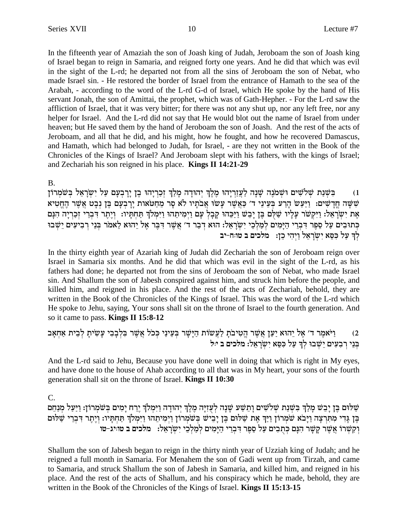In the fifteenth year of Amaziah the son of Joash king of Judah, Jeroboam the son of Joash king of Israel began to reign in Samaria, and reigned forty one years. And he did that which was evil in the sight of the L-rd; he departed not from all the sins of Jeroboam the son of Nebat, who made Israel sin. - He restored the border of Israel from the entrance of Hamath to the sea of the Arabah, - according to the word of the L-rd G-d of Israel, which He spoke by the hand of His servant Jonah, the son of Amittai, the prophet, which was of Gath-Hepher. - For the L-rd saw the affliction of Israel, that it was very bitter; for there was not any shut up, nor any left free, nor any helper for Israel. And the L-rd did not say that He would blot out the name of Israel from under heaven; but He saved them by the hand of Jeroboam the son of Joash. And the rest of the acts of Jeroboam, and all that he did, and his might, how he fought, and how he recovered Damascus, and Hamath, which had belonged to Judah, for Israel, - are they not written in the Book of the Chronicles of the Kings of Israel? And Jeroboam slept with his fathers, with the kings of Israel; and Zechariah his son reigned in his place. Kings II 14:21-29

**B.** 

בִּשְׁנַת שְׁלֹשִׁים וּשְׁמֹנֶה שָׁנָה לַעֲזַרְיָהוּ מֶלֶךְ יְהוּדָה מְלַךְ זְכַרְיָהוּ בֶן יָרָבְעָם עַל יִשְׂרָאֵל בְּשֹׁמְרוֹן  $(1)$ שִׁשָּׁה חֲדָשִׁים: וַיַּעַשׁ הָרַע בְּעֵינֵי ד׳ כַּאֲשֶׁר עָשׁוּ אֲבֹתָיו לֹא סָר מֵחַטֹּאות יָרָבְעָם בֶּן נִבָט אֲשֵׁר הֵחֵטִיא אֶת יִשְׂרָאֵל: וַיִּקְשֹׁר עָלְיו שַׁלֻּם בֶּן יָבֵשׁ וַיַּכֵּהוּ קָבָלְ עָם וַיְמִיתֵהוּ וַיִּמְלֹךְ תַּחְתָּיו: וְיֶתֶר דִּבְרִי זִכַרְיָה הִנָּם כְּתוּבִים עַל סֵפֶר דִּבְרֵי הַיָּמִים לְמַלְכֵי יִשְׂרָאֵל: הוֹא דְבַר ד׳ אֲשֶׁר דִּבֶר אֶל יֵהוֹא לֵאמֹר בִּנֵי רִבִיעִים יֵשִׁבוּ לך על כסא ישראל ויהי כן: מלכים ב טווח-יב

In the thirty eighth year of Azariah king of Judah did Zechariah the son of Jeroboam reign over Israel in Samaria six months. And he did that which was evil in the sight of the L-rd, as his fathers had done; he departed not from the sins of Jeroboam the son of Nebat, who made Israel sin. And Shallum the son of Jabesh conspired against him, and struck him before the people, and killed him, and reigned in his place. And the rest of the acts of Zechariah, behold, they are written in the Book of the Chronicles of the Kings of Israel. This was the word of the L-rd which He spoke to Jehu, saying, Your sons shall sit on the throne of Israel to the fourth generation. And so it came to pass. **Kings II 15:8-12** 

2) \_\_\_ וַיֹּאמֶר ד' אֶל יֵהוּא יַעַן אֲשֶׁר הֱטִיבֹתָ לַעֲשׂוֹת הַיָּשָׁר בְּעֵינַי כְּכֹל אֲשֶׁר בִּלְבָבִי עָשִׂיתָ לְבֵית אַחְאָב<br>בְּנֵי רְבִעִים יֵשִׁבוּ לִךְ עַל כִּסֵא יִשְׂרַאֱל: מלכים ב יּוּל

And the L-rd said to Jehu, Because you have done well in doing that which is right in My eyes, and have done to the house of Ahab according to all that was in My heart, your sons of the fourth generation shall sit on the throne of Israel. **Kings II 10:30** 

 $\mathcal{C}$ .

שַׁלוּם בֵּן יָבֵשׁ מַלַךְ בִּשְׁנַת שְׁלֹשִׁים וָתֵשַׁע שַׁנָה לְעָזְיַּה מֵלֵךְ יְהוּדָה וַיִּמְלֹךְ יֵרַח יַמִים בִּשֹׁמְרוֹן: וַיַּעַל מְנַחֵם בֶּן גָּדִי מִתְּרְצָה וַיָּבֹא שׁמְרוֹן וַיַּךְ אֶת שַׁלוּם בֶּן יָבִישׁ בְּשֹׁמְרוֹן וַיְמִיתֵהוּ וַיִּמְלֹךְ תַּחְתְּיו: וְיֶתֶר דִּבְרֵי שַׁלּוּם וְקִשְׁרוֹ אֲשֶׁר קָשָׁר הִנָּם כְּתֻבִים עַל סֵפֶר דִּבְרִי הַיָּמִים לְמַלְכֵי יִשְׂרָאֵל:  $\,$  מלכים ב טוויג-טו

Shallum the son of Jabesh began to reign in the thirty ninth year of Uzziah king of Judah; and he reigned a full month in Samaria. For Menahem the son of Gadi went up from Tirzah, and came to Samaria, and struck Shallum the son of Jabesh in Samaria, and killed him, and reigned in his place. And the rest of the acts of Shallum, and his conspiracy which he made, behold, they are written in the Book of the Chronicles of the Kings of Israel. Kings II 15:13-15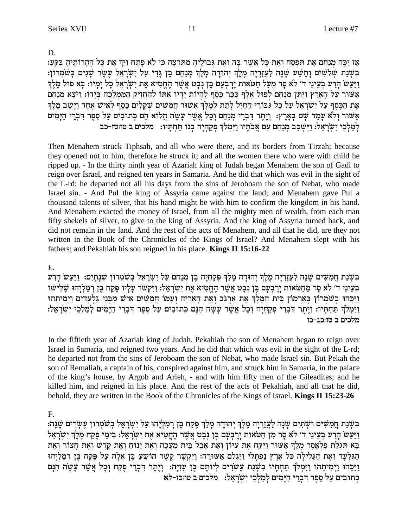D.

אַז יַכֵּה מִנַחֵם אֶת תַּפְסַח וְאֶת כַּל אֲשֶׁר בַּהּ וְאֶת גִּבוּלֵיהַ מִתְּרְצָה כִּי לֹא פַתַח וַיַּךְ אֶת כַּל הֶהָרוֹתֵיהַ בִּקֵעָ: בְּשָׁנַת שְׁלֹשִׁים וַתֲשַׁע שָׁנָה לַעֲזָרְיָה מֵלֵךְ יְהוּדָה מַלַךְ מִנַחֵם בֵּן גַּדִי עַל יִשְׂרָאֵל עֵשֶׂר שַׁנִים בְּשֹׁמְרוֹן: וַיַּעֲשׂ הַרַע בִּעֲינֵי ד׳ לֹא סַר מֵעֲל חַטֹּאות יַרְבִעָם בֵּן נִבְט אֲשֶׁר הַחֲטִיא אֶת יְשַׂרָאֶל כַּל יַמֵיו: בַּא פוּל מֵלַךְ אַשּׁוּר עַל הָאֲרֶץ וַיִּתֵּן מִנַחֵם לְפוּל אֲלֵף כִּכֵּר כָּסֵף לְהִיוֹת יַדִיו אִתּוֹ לְהַחֲזִיק הַמַּמְלַכָה בְיָדוֹ: וַיֹּצֵא מְנַחֵם אֶת הַכֵּסֵף עַל יִשְׂרָאֵל עַל כָּל גִּבּוֹרֵי הַחַיִל לָתֵת לְמֵלֵךְ אַשּׁוּר חֲמִשִּׁים שָׁקָלִים כֵּסֵף לְאִישׁ אָחָד וַיָּשָׁב מֵלֵךְ אַשׁוּר וְלֹא עַמַד שָׁם בָּאֲרֶץ: וְיָתֶר דְּבְרֵי מְנַחֵם וְכָל אֲשֶׁר עָשָׂה הֲלוֹא הֵם כְּתוּבִים עַל סֶפֶר דְּבְרֵי הַיָּמִים לְמַלְכֵי יְשְׂרָאֵל: וַיְּשִׁכַּב מִנַחֵם עִם אֲבֹתָיו וַיִּמְלֹךְ פִּקַחְיָה בְנוֹ תַּחְתָּיו: מלכים ב טוּטז-כב

Then Menahem struck Tiphsah, and all who were there, and its borders from Tirzah; because they opened not to him, therefore he struck it; and all the women there who were with child he ripped up. - In the thirty ninth year of Azariah king of Judah began Menahem the son of Gadi to reign over Israel, and reigned ten years in Samaria. And he did that which was evil in the sight of the L-rd; he departed not all his days from the sins of Jeroboam the son of Nebat, who made Israel sin. - And Pul the king of Assyria came against the land; and Menahem gave Pul a thousand talents of silver, that his hand might be with him to confirm the kingdom in his hand. And Menahem exacted the money of Israel, from all the mighty men of wealth, from each man fifty shekels of silver, to give to the king of Assyria. And the king of Assyria turned back, and did not remain in the land. And the rest of the acts of Menahem, and all that he did, are they not written in the Book of the Chronicles of the Kings of Israel? And Menahem slept with his fathers; and Pekahiah his son reigned in his place. Kings II 15:16-22

### E.

בִּשְׁנַת חֲמִשִּׁים שַׁנָה לַעֲזֵרְיָה מֶלֵךְ יְהוּדַה מַלַךְ פִּקַחָיַה בֵן מִנַחֵם עַל יִשְׂרָאֵל בִּשֹׁמְרוֹן שִׁנַתַיִם: וַיַּעֲשׂ הַרַע בְּעֵינֵי דֹ׳ לֹא סָר מֵחַטֹּאוֹת יָרַבְעָם בֵּן נְבָט אֲשֶׁר הֶחֱטִיא אֶת יְשְׂרָאֵל: וַיִּקְשׁר עָלָיו פֵּקַח בֵּן רִמַלְיָהוּ שֶׁלְישׁוֹ וַיַּכֵּהוּ בְשׁמְרוֹן בְאַרְמוֹן בֵית הַמֶּלֶךְ אֶת אַרְגֹב וְאֶת הָאַרְיָה וְעִמּוּ חֲמִשִׁים אִישׁ מִבְּנֵי גִלְעָדִים וַיְמִיתֵהוּ וַיִּמְלֹךְ תַּחְתְּיו: וְיֶתֶר דִּבְרֵי פְקַחְיָה וְכָל אֲשֶׁר עָשָׂה הִנָּם כְּתוּבִים עַל סֵפֶר דִּבְרֵי הַיָּמִים לְמַלְכֵי יִשְׂרָאֵל: מלכים ב טו:כג-כו

In the fiftieth year of Azariah king of Judah, Pekahiah the son of Menahem began to reign over Israel in Samaria, and reigned two years. And he did that which was evil in the sight of the L-rd; he departed not from the sins of Jeroboam the son of Nebat, who made Israel sin. But Pekah the son of Remaliah, a captain of his, conspired against him, and struck him in Samaria, in the palace of the king's house, by Argob and Arieh, - and with him fifty men of the Gileadites; and he killed him, and reigned in his place. And the rest of the acts of Pekahiah, and all that he did, behold, they are written in the Book of the Chronicles of the Kings of Israel. Kings II 15:23-26

F.

בִּשְׁנַת חֲמִשִּׁים וּשִׁתַּיִם שָׁנָה לַעֲזַרְיָה מֶלֶךְ יִהוּדָה מְלַךְ פֵּקַח בֶּן רִמַלְיָהוּ עַל יִשְׂרָאֵל בִּשֹׁמְרוֹן עֶשְׂרִים שָׁנָה: וַיַּעֲשׂ הַרַע בִּעֲינֵי ד׳ לֹא סָר מִן חַטֹּאות יַרַבְעָם בֶּן נִבְט אֲשֶׁר הֶחֱטִיא אֶת יְשְׂרָאֱלֹ: בִּימֵי פֵּקַח מֵלֵךְ יְשְׂרָאֵל בָּא תְּגִלַּת פְּלְאֵסֶר מֶלֶךְ אַשׁוּר וַיִּקַּח אֶת עִיּוֹן וְאֶת אָבֶל בֵּית מַעֲבָה וְאֶת יַנוֹחַ וְאֶת קֶדֶש וְאֶת חָצוֹר וְאֶת הַגִּלְעָד וְאֵת הַגָּלִילָה כֹּל אָרֵץ נַפְתָּלִי וַיַּגְלֵם אַשׁוּרָה: וַיִּקְשָׁר קִשֵּׁר הוֹשֵׁעַ בֵּן אֲלָה עַל פֵּקַח בֵּן רְמַלְיָהוּ וַיַּכָּהוּ וַיִּמְיתֵהוּ וַיִּמְלֹךְ תַּחִתְּיו בִּשָּׁנַת עָשְׂרִים לְיוֹתָם בֶּן עָזִיָּה: וְיֶתֶר דִּבְרֵי פֶקַח וִכָל אֲשֶׁר עָשָׂה הִנָּם כתובים על ספר דברי הימים למלכי ישראל: מלכים ב טוכו-לא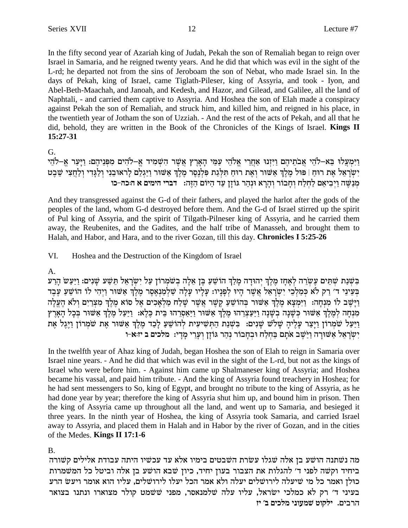In the fifty second year of Azariah king of Judah, Pekah the son of Remaliah began to reign over Israel in Samaria, and he reigned twenty years. And he did that which was evil in the sight of the L-rd; he departed not from the sins of Jeroboam the son of Nebat, who made Israel sin. In the days of Pekah, king of Israel, came Tiglath-Pileser, king of Assyria, and took - Iyon, and Abel-Beth-Maachah, and Janoah, and Kedesh, and Hazor, and Gilead, and Galilee, all the land of Naphtali, - and carried them captive to Assyria. And Hoshea the son of Elah made a conspiracy against Pekah the son of Remaliah, and struck him, and killed him, and reigned in his place, in the twentieth year of Jotham the son of Uzziah. - And the rest of the acts of Pekah, and all that he did, behold, they are written in the Book of the Chronicles of the Kings of Israel. Kings II  $15:27-31$ 

G.

וַיִּמְעֲלוּ בֵא–לֹהֵי אֲבֹתֵיהֶם וַיִּזְנוּ אַחֲרֵי אֱלֹהֵי עַמֵּי הָאָרֵץ אֲשֵׁר הִשְׁמִיד אֵ–לֹהִים מִפְּנֵיהֶם: וַיָּעַר אֵ–לֹהֵי יְשִׂרְאֵל אֶת רוּחַ | פּוּל מַלֶךְ אַשׁוּר וְאֶת רוּחַ תִּלְגַת פִּלְנְסֵר מֵלֶךְ אַשּׁוּר וַיַּגַלֶם לַראוּבְנִי וְלַגֲדִי וְלַחֲצִי שֶׁבְט מְנַשֶּׁה וַיִּבִיאֵם לַחְלַח וְחַבוֹר וְהַרֵא וּנְהָר גּוֹזַן עַד הַיּוֹם הָזֶה: | דברי הימים א הוכה-כו

And they transgressed against the G-d of their fathers, and played the harlot after the gods of the peoples of the land, whom G-d destroyed before them. And the G-d of Israel stirred up the spirit of Pul king of Assyria, and the spirit of Tilgath-Pilneser king of Assyria, and he carried them away, the Reubenites, and the Gadites, and the half tribe of Manasseh, and brought them to Halah, and Habor, and Hara, and to the river Gozan, till this day. Chronicles I 5:25-26

VI. Hoshea and the Destruction of the Kingdom of Israel

## $A_{1}$

בְּשָׁנַת שַׁתֵּים עֲשָׂרֶה לְאַחָז מָלֶךְ יְהוּדָה מַלַךְ הוֹשֵׁעַ בֵּן אֲלָה בְשֹׁמְרוֹן עַל יְשַׂרָאֵל תַּשַׁע שַׁנִים: וַיַּעֲשׂ הַרִע בְּעֵינֵי ד׳ רַק לֹא כִּמַלְכֵי יִשְׂרָאֵל אֲשֶׁר הַיוּ לְפַנַיו: עַלַיו עַלָה שַלְמַנְאָסֶר מֵלֶךְ אָשׁוּר וַיִּהִי לו הוֹשֵׁעַ עֶבֶד וַיַּשֵׁב לוֹ מִנְחַה: וַיִּמְצָא מֶלֶךְ אַשּׁוּר בְּהוֹשֵׁעַ קֵשֶׁר אֲשֶׁר שַׁלַח מַלְאַכִים אֵל סוֹא מֵלֶךְ מִצְרַיִם וְלֹא הֶעֵלָה מִנְחָה לְמֶלֶךְ אֲשׁוּר כִּשָּׁנָה בְשָׁנָה וַיַּעֲצְרֶהוּ מֶלֶךְ אֲשׁוּר וַיַּאֲסֶרֶהוּ בֵית כֵּלֶא: וַיַּעַל מֶלֶךְ אֲשׁוּר בְּכָל הָאֲרֶץ וַיַּעַל שֹמְרוֹן וַיָּצַר עָלֶיהָ שָׁלֹשׁ שָׁנִים: בִּשְׁנַת הַתְּשִׁיעִית לְהוֹשֵׁעַ לְכַד מֶלֶךְ אַשּׁוּר אֶת שֹמְרוֹן וַיֶּגֶל אֶת יִשְׂרָאֵל אֲשׁוּרָה וַיַּשֵׁב אֹתָם בַּחְלַח וּבְחָבוֹר נְהַר גּוֹזַן וְעָרֵי מַדָי: מלכים ב יז:א-ו

In the twelfth year of Ahaz king of Judah, began Hoshea the son of Elah to reign in Samaria over Israel nine years. - And he did that which was evil in the sight of the L-rd, but not as the kings of Israel who were before him. - Against him came up Shalmaneser king of Assyria; and Hoshea became his vassal, and paid him tribute. - And the king of Assyria found treachery in Hoshea; for he had sent messengers to So, king of Egypt, and brought no tribute to the king of Assyria, as he had done year by year; therefore the king of Assyria shut him up, and bound him in prison. Then the king of Assyria came up throughout all the land, and went up to Samaria, and besieged it three years. In the ninth year of Hoshea, the king of Assyria took Samaria, and carried Israel away to Assyria, and placed them in Halah and in Habor by the river of Gozan, and in the cities of the Medes. Kings II 17:1-6

**B.** 

מה נשתנה הושע בן אלה שגלו עשרת השבטים בימיו אלא עד עכשיו היתה עבודת אלילים קשורה ביחיד וקשה לפני ד' להגלות את הצבור בעון יחיד, כיון שבא הושע בן אלה וביטל כל המשמרות כולן ואמר כל מי שיעלה לירושלים יעלה ולא אמר הכל יעלו לירושלים, עליו הוא אומר ויעש הרע בעיני ד׳ רק לא כמלכי ישראל, עליו עלה שלמנאסר, מפני ששמט קולר מצוארו ונתנו בצואר הרבים. ילקוט שמעוני מלכים ב׳ יז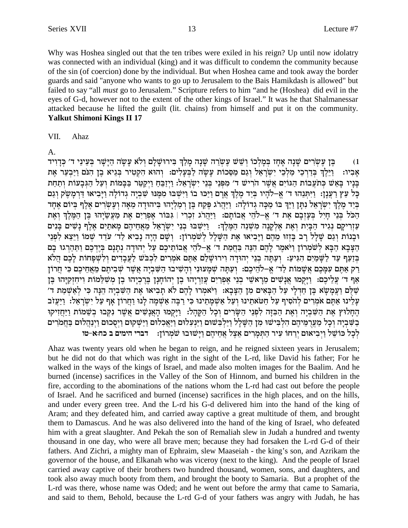Why was Hoshea singled out that the ten tribes were exiled in his reign? Up until now idolatry was connected with an individual (king) and it was difficult to condemn the community because of the sin (of coercion) done by the individual. But when Hoshea came and took away the border guards and said "anyone who wants to go up to Jerusalem to the Bais Hamikdash is allowed" but failed to say "all *must* go to Jerusalem." Scripture refers to him "and he (Hoshea) did evil in the eyes of G-d, however not to the extent of the other kings of Israel." It was he that Shalmanessar attacked because he lifted the guilt (lit. chains) from himself and put it on the community. **Yalkut Shimoni Kings II 17** 

VII. Ahaz

 $A<sub>1</sub>$ 

בן עשרים שנה אחז במלכו ושש עשרה שנה מלך בירושלם ולא עשה הישר בעיני ד׳ כדויד  $(1)$ וַיֵּלֶךְ בִּדְרְכֵי מַלְכֵי יָשְׂרָאֵל וְגַם מַסֶּכוֹת עַשָׂה לַבְּעֲלִים: וְהוּא הַקְטִיר בְּגֵיא בֶן הִנֹּם וַיַּבְעָר אֶת אביו: בַּנָיו בָּאֵשׁ כְּתֹעֲבוֹת הַגּוֹיִם אֲשֶׁר הֹרִישׁ ד׳ מִפְּנֵי בְּנֵי יִשְׂרָאֵל: וַיְזַבֵּחַ וַיְקַטֵּר בַּבָּמוֹת וְעַל הַגִּבָעוֹת וְתַחַת כָּל עֵץ רַעֲנָן: וַיִּתְּנֵהוּ ד׳ אֱ–לֹהָיו בְּיַד מֵלֵךְ אֲרָם וַיַּכּוּ בוֹ וַיִּשְׁבּוּ מִמֵּנוּ שִׁבְיָה גְדוֹלָה וַיַּבִיאוּ דַּרְמָשֵׂק וְגַם בְּיַד מֵלֶךְ יִשְׁרָאֵל נִתַּן וַיַּךְ בוֹ מַכָּה גְדוֹלָה: וַיַּהֲרֹג פֵּקַח בֵּן רִמַלְיָהוּ בִּיהוּדַה מֵאָה וְעֵשְרִים אֲלֶף בְּיוֹם אֶחָד הַכֹּל בְּנֵי חַיִּל בְּעַזְבָם אֶת ד' אֵ–לֹהֵי אֲבוֹתַם: וַיַּהֲרֹג זְכְרִי | גִּבּוֹר אָפְרַיִם אֶת מַעֲשֵׂיָהוּ בֵּן הַמֵּלֵךְ וְאֶת עַזְרִיקָם נְגִיד הַבִּיְת וְאֶת אֵלְקַנָה מְשִׁנֵה הַמֵּלֵךְ: וַיִּשְׁבּוּ בְנֵי יִשְׂרָאֵל מֵאֲחֵיהֶם מָאתַיִם אֲלֵף נַשִּׁים בַּנִים וּבַנוֹת וְגַם שַׁלַל רַב בַּזְזוּ מֶהֶם וַיַּבִיאוּ אֶת הַשַּׁלַל לְשֹמְרוֹן: וְשָׁם הַיַה נַבִיא לַד׳ עדֵד שִׁמוֹ וַיֵּצֵא לִפְנֵי הַצְּבָא הַבְּא לְשֹמְרוֹן וַיֹּאמֶר לָהֶם הִנֵּה בַּחֲמַת ד' אֵ–לֹהֵי אֲבוֹתֵיכֵם עַל יִהוּדָה נִתַּנַם בַּיֵדְכֵם וַתַּהַרְגוּ בַם בְּזַעֲף עַד לַשָּׁמַיִם הְגִּיעַ: וְעַתֲה בְנֵי יְהוּדַה וְירוּשָׁלֵם אָתֵּם אֹמְרִים לְכְבֹּשׁ לַעֲבָדִים וְלִשְׁפָחוֹת לַכֶם הֲלֹא רַק אַתֵּם עִמַּכֵם אֲשָׁמוֹת לַד׳ אֵ–לֹהֵיכֵם: וְעַתַּה שְׁמַעוּנִי וְהָשִׁיבוּ הַשִּׁבְיָה אֲשֵׁר שִׁבִיתֵם מֵאֲחֵיכֵם כִּי חֲרוֹן אַף ד׳ עֲלֵיכֶם: וַיַּקְמוּ אֲנָשִׁים מֵרָאשֵׁי בְנֵי אִפְרַיִם עֲזַרְיַהוּ בֶן יְהוֹחַנַן בֵּרְכְיָהוּ בֵן מִשְׁלֵמוֹת וְיחִזְקְיַהוּ בֵּן שלם ועמשא בן חדלי על הבאים מן הצבא: ויאמרו להם לא תביאו את השביה הנה כי לאשמת ד׳ עלינו אתם אמרים להסיף על חטאתינו ועל אשמתינו כי רבה אשמה לנו וחרון אף על ישראל: ויעזב החלוץ את השביה ואת הבזה לפני השרים וכל הקהל: ויקמו האנשים אשר נקבו בשמות ויחזיקו בשביה וכל מערמיהם הלבישו מן השלל וילבשום וינעלום ויאכלום וישקום ויסכום וינהלום בחמרים לכל כושל ויביאום ירחו עיר התמרים אצל אחיהם וישובו שמרון: | דברי הימים ב כח:א-טו

Ahaz was twenty years old when he began to reign, and he reigned sixteen years in Jerusalem; but he did not do that which was right in the sight of the L-rd, like David his father; For he walked in the ways of the kings of Israel, and made also molten images for the Baalim. And he burned (incense) sacrifices in the Valley of the Son of Hinnom, and burned his children in the fire, according to the abominations of the nations whom the L-rd had cast out before the people of Israel. And he sacrificed and burned (incense) sacrifices in the high places, and on the hills, and under every green tree. And the L-rd his G-d delivered him into the hand of the king of Aram; and they defeated him, and carried away captive a great multitude of them, and brought them to Damascus. And he was also delivered into the hand of the king of Israel, who defeated him with a great slaughter. And Pekah the son of Remaliah slew in Judah a hundred and twenty thousand in one day, who were all brave men; because they had forsaken the L-rd G-d of their fathers. And Zichri, a mighty man of Ephraim, slew Maaseiah - the king's son, and Azrikam the governor of the house, and Elkanah who was viceroy (next to the king). And the people of Israel carried away captive of their brothers two hundred thousand, women, sons, and daughters, and took also away much booty from them, and brought the booty to Samaria. But a prophet of the L-rd was there, whose name was Oded; and he went out before the army that came to Samaria, and said to them, Behold, because the L-rd G-d of your fathers was angry with Judah, he has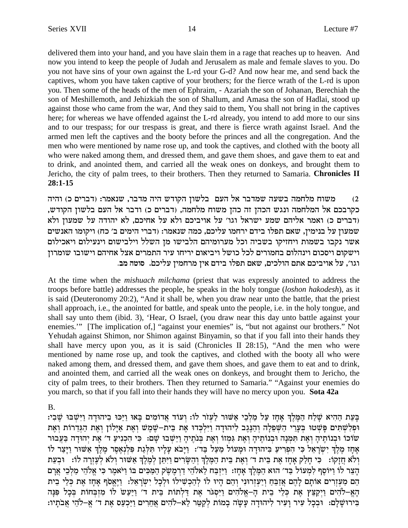delivered them into your hand, and you have slain them in a rage that reaches up to heaven. And now you intend to keep the people of Judah and Jerusalem as male and female slaves to you. Do you not have sins of your own against the L-rd your G-d? And now hear me, and send back the captives, whom you have taken captive of your brothers; for the fierce wrath of the L-rd is upon you. Then some of the heads of the men of Ephraim, - Azariah the son of Johanan, Berechiah the son of Meshillemoth, and Jehizkiah the son of Shallum, and Amasa the son of Hadlai, stood up against those who came from the war, And they said to them, You shall not bring in the captives here; for whereas we have offended against the L-rd already, you intend to add more to our sins and to our trespass; for our trespass is great, and there is fierce wrath against Israel. And the armed men left the captives and the booty before the princes and all the congregation. And the men who were mentioned by name rose up, and took the captives, and clothed with the booty all who were naked among them, and dressed them, and gave them shoes, and gave them to eat and to drink, and anointed them, and carried all the weak ones on donkeys, and brought them to Jericho, the city of palm trees, to their brothers. Then they returned to Samaria. **Chronicles II 28:1-15**

משוח מלחמה בשעה שמדבר אל העם בלשון הקודש היה מדבר, שנאמר: (דברים כ) והיה a' a' a' a' a' a' a' a' a' a' a' a' a כקרבכם אל המלחמה ונגש הכהן זה כהן משוח מלחמה, (דברים כ) ודבר אל העם בלשון הקודש, ודברים כ) ואמר אליהם שמע ישראל וגו׳ על אויביכם ולא על אחיכם, לא יהודה על שמעון ולא שמעון על בנימין, שאם תפלו בידם ירחמו עליכם, כמה שנאמר: (דברי הימים ב' כח) ויקומו האנשים אשר נקבו בשמות ויחזיקו בשביה וכל מערומיהם הלבישו מן השלל וילבישום וינעילום ויאכילום וישקום ויסכום וינהלום בחמורים לכל כושל ויביאום יריחו עיר התמרים אצל אחיהם וישובו שומרוז .<br>**וגו׳, על אויביכם אתם הולכים, שאם תפלו** בידם אין מרחמין עליכם. סוטה מב

At the time when the *mishuach milchama* (priest that was expressly anointed to address the troops before battle) addresses the people, he speaks in the holy tongue (*loshon hakodesh*), as it is said (Deuteronomy 20:2), "And it shall be, when you draw near unto the battle, that the priest shall approach, i.e., the anointed for battle, and speak unto the people, i.e. in the holy tongue, and shall say unto them (ibid. 3), 'Hear, O Israel, (you draw near this day unto battle against your enemies."" [The implication of,] "against your enemies" is, "but not against our brothers." Not Yehudah against Shimon, nor Shimon against Binyamin, so that if you fall into their hands they shall have mercy upon you, as it is said (Chronicles II 28:15), "And the men who were mentioned by name rose up, and took the captives, and clothed with the booty all who were naked among them, and dressed them, and gave them shoes, and gave them to eat and to drink, and anointed them, and carried all the weak ones on donkeys, and brought them to Jericho, the city of palm trees, to their brothers. Then they returned to Samaria." "Against your enemies do you march, so that if you fall into their hands they will have no mercy upon you. **Sota 42a**

B.

בַּעֵת הַהִיא שַׁלַח הַמֶּלֵךְ אַחָז עַל מַלְבֵי אַשׁוּר לַעִזֹר לוֹ: וְעוֹד אֲדוֹמִים בָּאוּ וַיַּכּוּ בִיהוּדָה וַיִּשְׁבּוּ שֶׁבְי: וּפִלְשָׁתִּים פָּשְׁטוּ בִּעֲרֵי הַשָּׁפֵלָה וְהַנֵּגֵב לִיהוּדָה וַיִּלְכָּדוּ אֶת בֵּית-שֵׁמֵשׁ וְאֶת אַיָּלוֹן וְאֶת הַגְּדֵרוֹת וְאֶת שׂוֹכוֹ וּבְנוֹתֵיהָ וְאֶת תְּמְנָה וּבְנוֹתֵיהָ וְאֶת גִּמְזוֹ וְאֶת בְּנוֹתֵיהָ וַיֵּשְׁבוּ שָׁם: כִּי הִכְנִיעַ ד׳ אֶת יְהוּדָה בַּעֲבוּר אָחָז מֶלֶךְ יִשְׁרָאֵל כִּי הִפְרִיעַ בִּיהוּדָה וּמְעוֹל מַעַל בַּד׳: וַיָּבֹא עָלְיו תִּלְנָת פִלְנְאֶסֶר מֶלֶךְ אַשׁוּר וַיְּצַר לו יִלֹא חֲזַקוֹ: `פִי חַלַק אָחָז אֶת בֵּית ד׳ וְאֶת בֵּית הַמֶּלֵךְ וָהַשָּׂרִים וַיִּתֵּן לְמֶלֶךְ אַשּׁוּר וְלֹא לְעָזִרָה לוֹ: `וּבִעֵת הַצֵּר לוֹ וַיּוֹסֵף לִמְעוֹל בַּד׳ הוּא הַמֵּלֵךְ אַחָז: וַיִּזְבַּח לֵאלֹהֵי דַרְמֶשֶׂק הַמַּכִּים בּוֹ וַיֹּאמֶר כִּי אֵלֹהֵי מַלְבֵי אֲרַם הם מעזרים אותם להם אזבח ויעזרוני והם היו לו להכשילו ולכל ישראל: ניאסף אחז את כלי בית הַאֲ−לֹהִים וַיִּקַצֵּץ אֶת כְּלֵי בֵית הַ−אֵלֹהִים וַיִּסְגֹּר אֶת דַלְתוֹת בֵית ד׳ וַיַּעֲשׂ לוֹ מִזְבְחוֹת בִּכָל פִּנָּה בִירוּשַׁלַם: וּבְכָל עִיר וַעִיר ליהוּדָה עַשָה בְמוֹת לִקְטֵר לֵא-לֹהִים אַחֲרִים וַיַּכְעֶס אֶת ד׳ אַ-לֹהִי אֲבֹתִיו: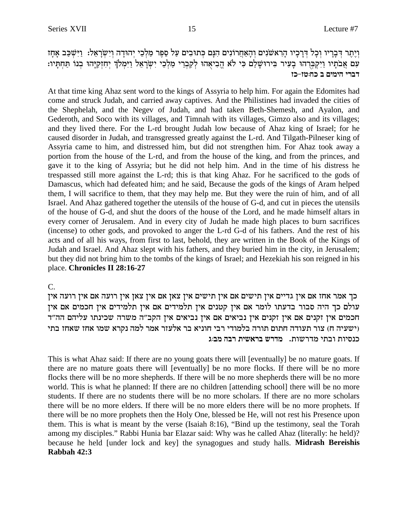וְיֵתֶר דְּבָרֵיו וְכָל דְּרָכָיו הָרְאשׁנִים וְהָאַחֲרוֹנִים הִנָּם כְּתוּבִים עַל סֶפֶר מַלְכֵי יְהוּדָה וְיִשְׂרָאֵל: וַיִּשְׁכַּב אָחָז עם אֲבֹתָיו וַיִקְבְּרֹהוּ בָעִיר בִּירוּשָׁלַם כִּי לֹא הֱבִיאָהוּ לְקִבְרֵי מַלְבֵי יִשְׂרָאֵל וַיִּמְלֹךְ יְחִזְקִיָּהוּ בְנוֹ תַּחְתָּיו: דברי הימים ב כח:טז-כז

At that time king Ahaz sent word to the kings of Assyria to help him. For again the Edomites had come and struck Judah, and carried away captives. And the Philistines had invaded the cities of the Shephelah, and the Negev of Judah, and had taken Beth-Shemesh, and Ayalon, and Gederoth, and Soco with its villages, and Timnah with its villages, Gimzo also and its villages; and they lived there. For the L-rd brought Judah low because of Ahaz king of Israel; for he caused disorder in Judah, and transgressed greatly against the L-rd. And Tilgath-Pilneser king of Assyria came to him, and distressed him, but did not strengthen him. For Ahaz took away a portion from the house of the L-rd, and from the house of the king, and from the princes, and gave it to the king of Assyria; but he did not help him. And in the time of his distress he trespassed still more against the L-rd; this is that king Ahaz. For he sacrificed to the gods of Damascus, which had defeated him; and he said, Because the gods of the kings of Aram helped them, I will sacrifice to them, that they may help me. But they were the ruin of him, and of all Israel. And Ahaz gathered together the utensils of the house of G-d, and cut in pieces the utensils of the house of G-d, and shut the doors of the house of the Lord, and he made himself altars in every corner of Jerusalem. And in every city of Judah he made high places to burn sacrifices (incense) to other gods, and provoked to anger the L-rd G-d of his fathers. And the rest of his acts and of all his ways, from first to last, behold, they are written in the Book of the Kings of Judah and Israel. And Ahaz slept with his fathers, and they buried him in the city, in Jerusalem; but they did not bring him to the tombs of the kings of Israel; and Hezekiah his son reigned in his place. Chronicles II 28:16-27

 $\mathbf{C}$ .

כך אמר אחז אם אין גדיים אין תישים אם אין תישים אין צאן אם אין צאן אין רועה אם אין רועה אין עולם כך היה סבור בדעתו לומר אם אין קטנים אין תלמידים אם אין תלמידים אין חכמים אם אין .<br>חכמים אין זקנים אם אין זקנים אין נביאים אם אין נביאים אין הקב"ה משרה שכינתו עליהם הה"ד (ישעיה ח) צור תעודה חתום תורה בלמודי רבי חוניא בר אלעזר אמר למה נקרא שמו אחז שאחז בתי כנסיות ובתי מדרשות. מדרש בראשית רבה מב:ג

This is what Ahaz said: If there are no young goats there will [eventually] be no mature goats. If there are no mature goats there will [eventually] be no more flocks. If there will be no more flocks there will be no more shepherds. If there will be no more shepherds there will be no more world. This is what he planned: If there are no children [attending school] there will be no more students. If there are no students there will be no more scholars. If there are no more scholars there will be no more elders. If there will be no more elders there will be no more prophets. If there will be no more prophets then the Holy One, blessed be He, will not rest his Presence upon them. This is what is meant by the verse (Isaiah 8:16), "Bind up the testimony, seal the Torah among my disciples." Rabbi Hunia bar Elazar said: Why was he called Ahaz (literally: he held)? because he held [under lock and key] the synagogues and study halls. Midrash Bereishis Rabbah 42:3